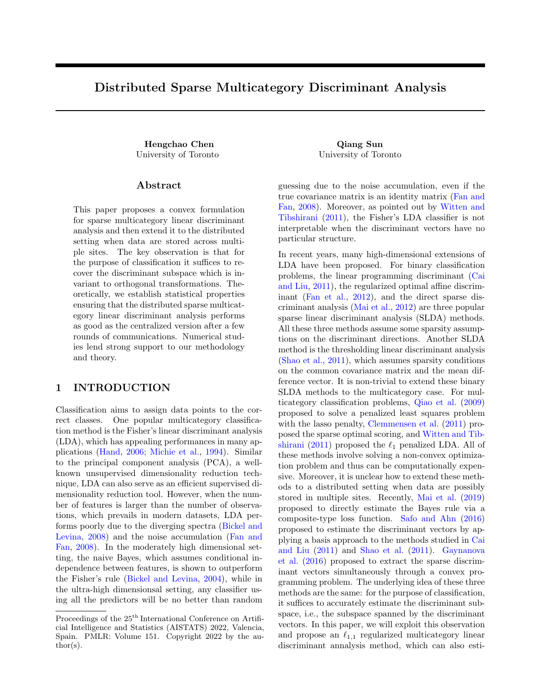# Distributed Sparse Multicategory Discriminant Analysis

Hengchao Chen Qiang Sun University of Toronto University of Toronto

### Abstract

This paper proposes a convex formulation for sparse multicategory linear discriminant analysis and then extend it to the distributed setting when data are stored across multiple sites. The key observation is that for the purpose of classification it suffices to recover the discriminant subspace which is invariant to orthogonal transformations. Theoretically, we establish statistical properties ensuring that the distributed sparse multicategory linear discriminant analysis performs as good as the centralized version after a few rounds of communications. Numerical studies lend strong support to our methodology and theory.

# 1 INTRODUCTION

Classification aims to assign data points to the correct classes. One popular multicategory classification method is the Fisher's linear discriminant analysis (LDA), which has appealing performances in many applications [\(Hand,](#page-7-0) [2006;](#page-7-0) [Michie et al.,](#page-7-1) [1994\)](#page-7-1). Similar to the principal component analysis (PCA), a wellknown unsupervised dimensionality reduction technique, LDA can also serve as an efficient supervised dimensionality reduction tool. However, when the number of features is larger than the number of observations, which prevails in modern datasets, LDA performs poorly due to the diverging spectra [\(Bickel and](#page-6-0) [Levina,](#page-6-0) [2008\)](#page-6-0) and the noise accumulation [\(Fan and](#page-6-1) [Fan,](#page-6-1) [2008\)](#page-6-1). In the moderately high dimensional setting, the naive Bayes, which assumes conditional independence between features, is shown to outperform the Fisher's rule [\(Bickel and Levina,](#page-6-2) [2004\)](#page-6-2), while in the ultra-high dimensionsal setting, any classifier using all the predictors will be no better than random

guessing due to the noise accumulation, even if the true covariance matrix is an identity matrix [\(Fan and](#page-6-1) [Fan,](#page-6-1) [2008\)](#page-6-1). Moreover, as pointed out by [Witten and](#page-7-2) [Tibshirani](#page-7-2) [\(2011\)](#page-7-2), the Fisher's LDA classifier is not interpretable when the discriminant vectors have no particular structure.

In recent years, many high-dimensional extensions of LDA have been proposed. For binary classification problems, the linear programming discriminant [\(Cai](#page-6-3) [and Liu,](#page-6-3) [2011\)](#page-6-3), the regularized optimal affine discriminant [\(Fan et al.,](#page-7-3) [2012\)](#page-7-3), and the direct sparse discriminant analysis [\(Mai et al.,](#page-7-4) [2012\)](#page-7-4) are three popular sparse linear discriminant analysis (SLDA) methods. All these three methods assume some sparsity assumptions on the discriminant directions. Another SLDA method is the thresholding linear discriminant analysis [\(Shao et al.,](#page-7-5) [2011\)](#page-7-5), which assumes sparsity conditions on the common covariance matrix and the mean difference vector. It is non-trivial to extend these binary SLDA methods to the multicategory case. For multicategory classification problems, [Qiao et al.](#page-7-6) [\(2009\)](#page-7-6) proposed to solve a penalized least squares problem with the lasso penalty, [Clemmensen et al.](#page-6-4) [\(2011\)](#page-6-4) proposed the sparse optimal scoring, and [Witten and Tib](#page-7-2)[shirani](#page-7-2) [\(2011\)](#page-7-2) proposed the  $\ell_1$  penalized LDA. All of these methods involve solving a non-convex optimization problem and thus can be computationally expensive. Moreover, it is unclear how to extend these methods to a distributed setting when data are possibly stored in multiple sites. Recently, [Mai et al.](#page-7-7) [\(2019\)](#page-7-7) proposed to directly estimate the Bayes rule via a composite-type loss function. [Safo and Ahn](#page-7-8) [\(2016\)](#page-7-8) proposed to estimate the discriminant vectors by applying a basis approach to the methods studied in [Cai](#page-6-3) [and Liu](#page-6-3) [\(2011\)](#page-6-3) and [Shao et al.](#page-7-5) [\(2011\)](#page-7-5). [Gaynanova](#page-7-9) [et al.](#page-7-9) [\(2016\)](#page-7-9) proposed to extract the sparse discriminant vectors simultaneously through a convex programming problem. The underlying idea of these three methods are the same: for the purpose of classification, it suffices to accurately estimate the discriminant subspace, i.e., the subspace spanned by the discriminant vectors. In this paper, we will exploit this observation and propose an  $\ell_{1,1}$  regularized multicategory linear discriminant annalysis method, which can also esti-

Proceedings of the  $25^{\text{th}}$  International Conference on Artificial Intelligence and Statistics (AISTATS) 2022, Valencia, Spain. PMLR: Volume 151. Copyright 2022 by the au- $\text{thor}(s)$ .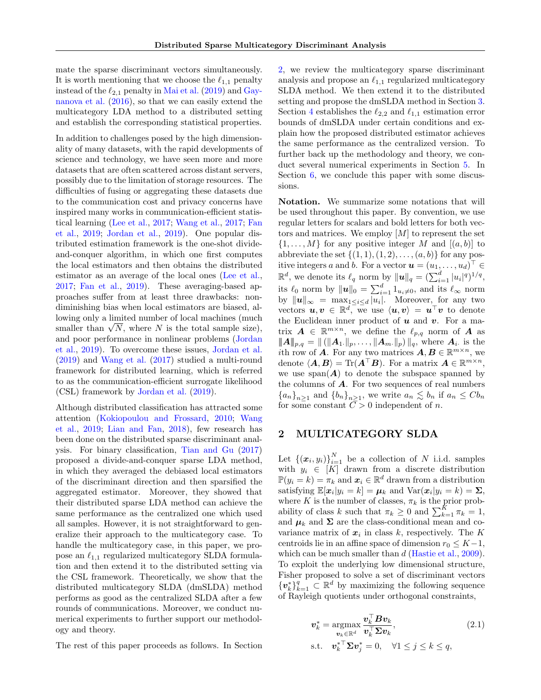mate the sparse discriminant vectors simultaneously. It is worth mentioning that we choose the  $\ell_{1,1}$  penalty instead of the  $\ell_{2,1}$  penalty in [Mai et al.](#page-7-7) [\(2019\)](#page-7-7) and [Gay](#page-7-9)[nanova et al.](#page-7-9) [\(2016\)](#page-7-9), so that we can easily extend the multicategory LDA method to a distributed setting and establish the corresponding statistical properties.

In addition to challenges posed by the high dimensionality of many datasets, with the rapid developments of science and technology, we have seen more and more datasets that are often scattered across distant servers, possibly due to the limitation of storage resources. The difficulties of fusing or aggregating these datasets due to the communication cost and privacy concerns have inspired many works in communication-efficient statistical learning [\(Lee et al.,](#page-7-10) [2017;](#page-7-10) [Wang et al.,](#page-7-11) [2017;](#page-7-11) [Fan](#page-7-12) [et al.,](#page-7-12) [2019;](#page-7-12) [Jordan et al.,](#page-7-13) [2019\)](#page-7-13). One popular distributed estimation framework is the one-shot divideand-conquer algorithm, in which one first computes the local estimators and then obtains the distributed estimator as an average of the local ones [\(Lee et al.,](#page-7-10) [2017;](#page-7-10) [Fan et al.,](#page-7-12) [2019\)](#page-7-12). These averaging-based approaches suffer from at least three drawbacks: nondiminishing bias when local estimators are biased, allowing only a limited number of local machines (much fowing only a fimited number of local machines (much smaller than  $\sqrt{N}$ , where N is the total sample size), and poor performance in nonlinear problems [\(Jordan](#page-7-13) [et al.,](#page-7-13) [2019\)](#page-7-13). To overcome these issues, [Jordan et al.](#page-7-13) [\(2019\)](#page-7-13) and [Wang et al.](#page-7-11) [\(2017\)](#page-7-11) studied a multi-round framework for distributed learning, which is referred to as the communication-efficient surrogate likelihood (CSL) framework by [Jordan et al.](#page-7-13) [\(2019\)](#page-7-13).

Although distributed classification has attracted some attention [\(Kokiopoulou and Frossard,](#page-7-14) [2010;](#page-7-14) [Wang](#page-7-15) [et al.,](#page-7-15) [2019;](#page-7-15) [Lian and Fan,](#page-7-16) [2018\)](#page-7-16), few research has been done on the distributed sparse discriminant analysis. For binary classification, [Tian and Gu](#page-7-17) [\(2017\)](#page-7-17) proposed a divide-and-conquer sparse LDA method, in which they averaged the debiased local estimators of the discriminant direction and then sparsified the aggregated estimator. Moreover, they showed that their distributed sparse LDA method can achieve the same performance as the centralized one which used all samples. However, it is not straightforward to generalize their approach to the multicategory case. To handle the multicategory case, in this paper, we propose an  $\ell_{1,1}$  regularized multicategory SLDA formulation and then extend it to the distributed setting via the CSL framework. Theoretically, we show that the distributed multicategory SLDA (dmSLDA) method performs as good as the centralized SLDA after a few rounds of communications. Moreover, we conduct numerical experiments to further support our methodology and theory.

The rest of this paper proceeds as follows. In Section

[2,](#page-1-0) we review the multicategory sparse discriminant analysis and propose an  $\ell_{1,1}$  regularized multicategory SLDA method. We then extend it to the distributed setting and propose the dmSLDA method in Section [3.](#page-2-0) Section [4](#page-3-0) establishes the  $\ell_{2,2}$  and  $\ell_{1,1}$  estimation error bounds of dmSLDA under certain conditions and explain how the proposed distributed estimator achieves the same performance as the centralized version. To further back up the methodology and theory, we conduct several numerical experiments in Section [5.](#page-5-0) In Section [6,](#page-6-5) we conclude this paper with some discussions.

Notation. We summarize some notations that will be used throughout this paper. By convention, we use regular letters for scalars and bold letters for both vectors and matrices. We employ  $[M]$  to represent the set  $\{1, \ldots, M\}$  for any positive integer M and  $[(a, b)]$  to abbreviate the set  $\{(1, 1), (1, 2), \ldots, (a, b)\}\$ for any positive integers a and b. For a vector  $\mathbf{u} = (u_1, \dots, u_d)^\top \in$  $\mathbb{R}^d$ , we denote its  $\ell_q$  norm by  $\|\boldsymbol{u}\|_q = (\sum_{i=1}^d |u_i|^q)^{1/q}$ , its  $\ell_0$  norm by  $\|\boldsymbol{u}\|_0 = \sum_{i=1}^d 1_{u_i \neq 0}$ , and its  $\ell_{\infty}$  norm by  $||u||_{\infty} = \max_{1 \leq i \leq d} |u_i|$ . Moreover, for any two vectors  $u, v \in \mathbb{R}^d$ , we use  $\langle u, v \rangle = u^\top v$  to denote the Euclidean inner product of  $u$  and  $v$ . For a matrix  $\mathbf{A} \in \mathbb{R}^{m \times n}$ , we define the  $\ell_{p,q}$  norm of  $\mathbf{A}$  as  $||A||_{p,q} = || (||A_{1\cdot}||_{p}, \ldots, ||A_{m\cdot}||_{p}) ||_{q}$ , where  $A_{i\cdot}$  is the ith row of **A**. For any two matrices  $A, B \in \mathbb{R}^{m \times n}$ , we denote  $\langle \boldsymbol{A}, \boldsymbol{B} \rangle = \text{Tr}(\boldsymbol{A}^{\top} \boldsymbol{B})$ . For a matrix  $\boldsymbol{A} \in \mathbb{R}^{m \times n}$ , we use  $\text{span}(\boldsymbol{A})$  to denote the subspace spanned by the columns of  $A$ . For two sequences of real numbers  ${a_n}_{n\geq 1}$  and  ${b_n}_{n\geq 1}$ , we write  $a_n \leq b_n$  if  $a_n \leq Cb_n$ for some constant  $\overline{C} > 0$  independent of n.

# <span id="page-1-0"></span>2 MULTICATEGORY SLDA

Let  $\{(\boldsymbol{x}_i, y_i)\}_{i=1}^N$  be a collection of N i.i.d. samples with  $y_i \in [K]$  drawn from a discrete distribution  $\mathbb{P}(y_i = k) = \pi_k$  and  $\mathbf{x}_i \in \mathbb{R}^d$  drawn from a distribution satisfying  $\mathbb{E}[\boldsymbol{x}_i|y_i = k] = \boldsymbol{\mu}_k$  and  $\text{Var}(\boldsymbol{x}_i|y_i = k) = \boldsymbol{\Sigma}$ , where K is the number of classes,  $\pi_k$  is the prior probability of class k such that  $\pi_k \geq 0$  and  $\sum_{k=1}^K \pi_k = 1$ , and  $\mu_k$  and  $\Sigma$  are the class-conditional mean and covariance matrix of  $x_i$  in class  $k$ , respectively. The K centroids lie in an affine space of dimension  $r_0 \leq K-1$ , which can be much smaller than  $d$  [\(Hastie et al.,](#page-7-18) [2009\)](#page-7-18). To exploit the underlying low dimensional structure, Fisher proposed to solve a set of discriminant vectors  ${v_k^*}\}_{k=1}^q \subset \mathbb{R}^d$  by maximizing the following sequence of Rayleigh quotients under orthogonal constraints,

<span id="page-1-1"></span>
$$
\mathbf{v}_{k}^{*} = \underset{\mathbf{v}_{k} \in \mathbb{R}^{d}}{\operatorname{argmax}} \frac{\mathbf{v}_{k}^{\top} \mathbf{B} \mathbf{v}_{k}}{\mathbf{v}_{k}^{\top} \mathbf{\Sigma} \mathbf{v}_{k}},
$$
\n
$$
\text{s.t.} \quad \mathbf{v}_{k}^{* \top} \mathbf{\Sigma} \mathbf{v}_{j}^{*} = 0, \quad \forall 1 \leq j \leq k \leq q,
$$
\n
$$
(2.1)
$$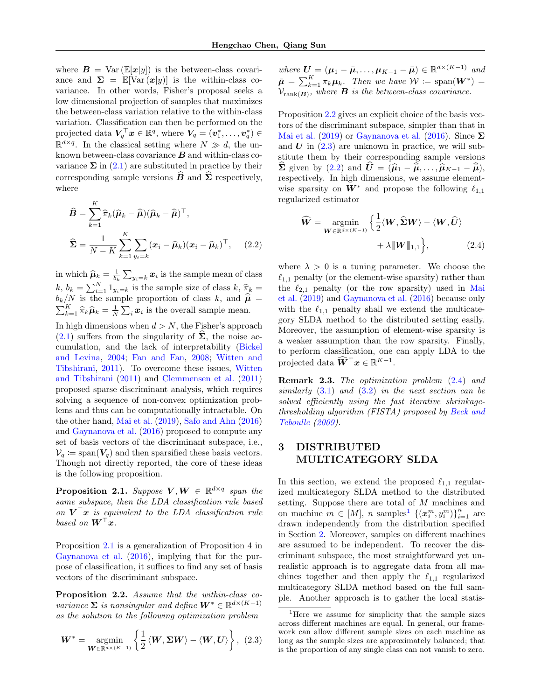where  $\mathbf{B} = \text{Var}\left(\mathbb{E}[\mathbf{x}|y]\right)$  is the between-class covariance and  $\Sigma = \mathbb{E}[\text{Var}(\boldsymbol{x}|y)]$  is the within-class covariance. In other words, Fisher's proposal seeks a low dimensional projection of samples that maximizes the between-class variation relative to the within-class variation. Classification can then be performed on the projected data  $V_q^{\top}x \in \mathbb{R}^q$ , where  $V_q = (\boldsymbol{v}_1^*, \dots, \boldsymbol{v}_q^*) \in$  $\mathbb{R}^{d \times q}$ . In the classical setting where  $N \gg d$ , the unknown between-class covariance  $B$  and within-class covariance  $\Sigma$  in [\(2.1\)](#page-1-1) are substituted in practice by their corresponding sample versions  $\hat{B}$  and  $\hat{\Sigma}$  respectively, where

$$
\widehat{B} = \sum_{k=1}^{K} \widehat{\pi}_k (\widehat{\mu}_k - \widehat{\overline{\mu}}) (\widehat{\mu}_k - \widehat{\overline{\mu}})^{\top},
$$
  

$$
\widehat{\Sigma} = \frac{1}{N - K} \sum_{k=1}^{K} \sum_{y_i = k} (\boldsymbol{x}_i - \widehat{\mu}_k) (\boldsymbol{x}_i - \widehat{\mu}_k)^{\top}, \quad (2.2)
$$

in which  $\hat{\mu}_k = \frac{1}{b_k} \sum_{y_i=k} x_i$  is the sample mean of class k,  $b_k = \sum_{i=1}^{N} 1_{y_i=k}$  is the sample size of class  $k, \hat{\pi}_k =$  $b_k/N$  is the sample proportion of class k, and  $\hat{\vec{\mu}} = \sum_{k=1}^K \hat{\pi}_k \hat{\mu}_k = \frac{1}{N} \sum_i x_i$  is the overall sample mean.  $\frac{K}{k+1} \hat{\pi}_k \hat{\mu}_k = \frac{1}{N} \sum_i \mathbf{x}_i$  is the overall sample mean.

In high dimensions when  $d > N$ , the Fisher's approach [\(2.1\)](#page-1-1) suffers from the singularity of  $\Sigma$ , the noise accumulation, and the lack of interpretability [\(Bickel](#page-6-2) [and Levina,](#page-6-2) [2004;](#page-6-2) [Fan and Fan,](#page-6-1) [2008;](#page-6-1) [Witten and](#page-7-2) [Tibshirani,](#page-7-2) [2011\)](#page-7-2). To overcome these issues, [Witten](#page-7-2) [and Tibshirani](#page-7-2) [\(2011\)](#page-7-2) and [Clemmensen et al.](#page-6-4) [\(2011\)](#page-6-4) proposed sparse discriminant analysis, which requires solving a sequence of non-convex optimization problems and thus can be computationally intractable. On the other hand, [Mai et al.](#page-7-7) [\(2019\)](#page-7-7), [Safo and Ahn](#page-7-8) [\(2016\)](#page-7-8) and [Gaynanova et al.](#page-7-9) [\(2016\)](#page-7-9) proposed to compute any set of basis vectors of the discriminant subspace, i.e.,  $\mathcal{V}_q \coloneqq \text{span}(\mathbf{V}_q)$  and then sparsified these basis vectors. Though not directly reported, the core of these ideas is the following proposition.

<span id="page-2-1"></span>**Proposition 2.1.** Suppose  $V, W \in \mathbb{R}^{d \times q}$  span the same subspace, then the LDA classification rule based on  $V^{\top}x$  is equivalent to the LDA classification rule based on  $W^\top x$ .

Proposition [2.1](#page-2-1) is a generalization of Proposition 4 in [Gaynanova et al.](#page-7-9) [\(2016\)](#page-7-9), implying that for the purpose of classification, it suffices to find any set of basis vectors of the discriminant subspace.

<span id="page-2-2"></span>Proposition 2.2. Assume that the within-class covariance  $\Sigma$  is nonsingular and define  $W^* \in \mathbb{R}^{d \times (K-1)}$ as the solution to the following optimization problem

$$
\boldsymbol{W}^* = \underset{\boldsymbol{W} \in \mathbb{R}^{d \times (K-1)}}{\operatorname{argmin}} \left\{ \frac{1}{2} \left\langle \boldsymbol{W}, \boldsymbol{\Sigma} \boldsymbol{W} \right\rangle - \left\langle \boldsymbol{W}, \boldsymbol{U} \right\rangle \right\}, \tag{2.3}
$$

where  $\boldsymbol{U} = (\boldsymbol{\mu}_1 - \bar{\boldsymbol{\mu}}, \dots, \boldsymbol{\mu}_{K-1} - \bar{\boldsymbol{\mu}}) \in \mathbb{R}^{d \times (K-1)}$  and  $\bar{\boldsymbol{\mu}} = \sum_{k=1}^K \pi_k \boldsymbol{\mu}_k$ . Then we have  $\mathcal{W} \coloneqq \text{span}(\boldsymbol{W}^*) =$  $\mathcal{V}_{\text{rank}(\mathbf{B})}$ , where **B** is the between-class covariance.

Proposition [2.2](#page-2-2) gives an explicit choice of the basis vectors of the discriminant subspace, simpler than that in [Mai et al.](#page-7-7) [\(2019\)](#page-7-7) or [Gaynanova et al.](#page-7-9) [\(2016\)](#page-7-9). Since  $\Sigma$ and  $U$  in  $(2.3)$  are unknown in practice, we will substitute them by their corresponding sample versions  $\widehat{\Sigma}$  given by [\(2.2\)](#page-2-4) and  $\widehat{U} = (\widehat{\mu}_1 - \widehat{\overline{\mu}}, \ldots, \widehat{\mu}_{K-1} - \widehat{\overline{\mu}}),$ respectively. In high dimensions, we assume elementwise sparsity on  $W^*$  and propose the following  $\ell_{1,1}$ regularized estimator

<span id="page-2-5"></span>
$$
\widehat{\mathbf{W}} = \underset{\mathbf{W} \in \mathbb{R}^{d \times (K-1)}}{\operatorname{argmin}} \left\{ \frac{1}{2} \langle \mathbf{W}, \widehat{\boldsymbol{\Sigma}} \mathbf{W} \rangle - \langle \mathbf{W}, \widehat{\mathbf{U}} \rangle \right. \\ \left. + \lambda \|\mathbf{W}\|_{1,1} \right\}, \tag{2.4}
$$

<span id="page-2-4"></span>where  $\lambda > 0$  is a tuning parameter. We choose the  $\ell_{1,1}$  penalty (or the element-wise sparsity) rather than the  $\ell_{2,1}$  penalty (or the row sparsity) used in [Mai](#page-7-7) [et al.](#page-7-7) [\(2019\)](#page-7-7) and [Gaynanova et al.](#page-7-9) [\(2016\)](#page-7-9) because only with the  $\ell_{1,1}$  penalty shall we extend the multicategory SLDA method to the distributed setting easily. Moreover, the assumption of element-wise sparsity is a weaker assumption than the row sparsity. Finally, to perform classification, one can apply LDA to the projected data  $\widehat{W}^{\top} x \in \mathbb{R}^{K-1}$ .

Remark 2.3. The optimization problem [\(2.4\)](#page-2-5) and similarly  $(3.1)$  and  $(3.2)$  in the next section can be solved efficiently using the fast iterative shrinkagethresholding algorithm (FISTA) proposed by [Beck and](#page-6-6) [Teboulle](#page-6-6) [\(2009\)](#page-6-6).

# <span id="page-2-0"></span>3 DISTRIBUTED MULTICATEGORY SLDA

In this section, we extend the proposed  $\ell_{1,1}$  regularized multicategory SLDA method to the distributed setting. Suppose there are total of M machines and on machine  $m \in [M]$ , n samples<sup>[1](#page-2-6)</sup>  $\{(\boldsymbol{x}_i^m, y_i^m)\}_{i=1}^n$  are drawn independently from the distribution specified in Section [2.](#page-1-0) Moreover, samples on different machines are assumed to be independent. To recover the discriminant subspace, the most straightforward yet unrealistic approach is to aggregate data from all machines together and then apply the  $\ell_{1,1}$  regularized multicategory SLDA method based on the full sample. Another approach is to gather the local statis-

<span id="page-2-6"></span><span id="page-2-3"></span><sup>&</sup>lt;sup>1</sup>Here we assume for simplicity that the sample sizes across different machines are equal. In general, our framework can allow different sample sizes on each machine as long as the sample sizes are approximately balanced; that is the proportion of any single class can not vanish to zero.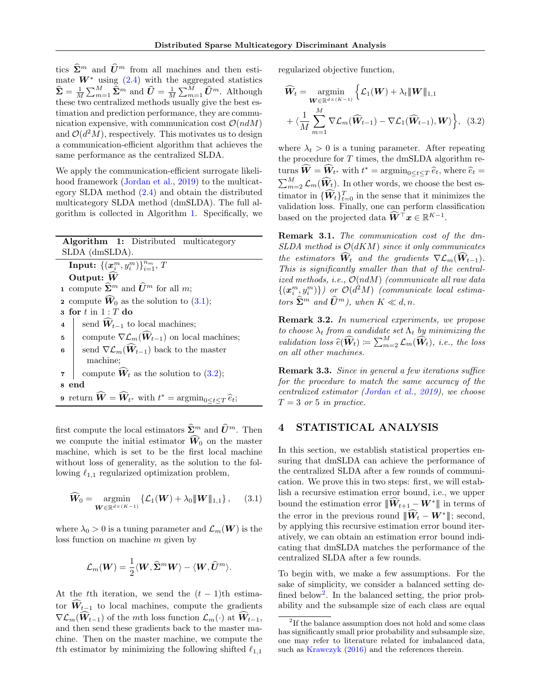tics  $\hat{\Sigma}^m$  and  $\hat{U}^m$  from all machines and then estimate  $W^*$  using [\(2.4\)](#page-2-5) with the aggregated statistics  $\widehat{\Sigma} = \frac{1}{M} \sum_{m=1}^{M} \widehat{\Sigma}^m$  and  $\widehat{U} = \frac{1}{M} \sum_{m=1}^{M} \widehat{U}^m$ . Although these two centralized methods usually give the best estimation and prediction performance, they are communication expensive, with communication cost  $\mathcal{O}(ndM)$ and  $\mathcal{O}(d^2M)$ , respectively. This motivates us to design a communication-efficient algorithm that achieves the same performance as the centralized SLDA.

We apply the communication-efficient surrogate likeli-hood framework [\(Jordan et al.,](#page-7-13) [2019\)](#page-7-13) to the multicategory SLDA method [\(2.4\)](#page-2-5) and obtain the distributed multicategory SLDA method (dmSLDA). The full algorithm is collected in Algorithm [1.](#page-3-3) Specifically, we

|                |  | Algorithm 1: Distributed multicategory |
|----------------|--|----------------------------------------|
| SLDA (dmSLDA). |  |                                        |

Input:  $\left\{(\boldsymbol{x}_i^m, y_i^m)\right\}_{i=1}^{n_m}, T$ Output:  $\widehat{W}$ 1 compute  $\widehat{\Sigma}^m$  and  $\widehat{U}^m$  for all m; 2 compute  $\widehat{W}_0$  as the solution to [\(3.1\)](#page-3-1);  $s$  for  $t$  in  $1:T$  do 4 send  $\widehat{W}_{t-1}$  to local machines; 5 compute  $\nabla \mathcal{L}_m(\widehat{W}_{t-1})$  on local machines; 6 send  $\nabla \mathcal{L}_m(\widehat{\mathbf{W}}_{t-1})$  back to the master machine; 7 compute  $\widehat{W}_t$  as the solution to [\(3.2\)](#page-3-2); 8 end **9** return  $\widehat{W} = \widehat{W}_{t^*}$  with  $t^* = \operatorname{argmin}_{0 \le t \le T} \widehat{e}_t$ ;

first compute the local estimators  $\widehat{\mathbf{\Sigma}}^m$  and  $\widehat{U}^m$ . Then we compute the initial estimator  $\widehat{W}_0$  on the master machine, which is set to be the first local machine without loss of generality, as the solution to the following  $\ell_{1,1}$  regularized optimization problem,

$$
\widehat{\boldsymbol{W}}_0 = \operatorname*{argmin}_{\boldsymbol{W} \in \mathbb{R}^{d \times (K-1)}} \left\{ \mathcal{L}_1(\boldsymbol{W}) + \lambda_0 \| \boldsymbol{W} \|_{1,1} \right\}, \qquad (3.1)
$$

where  $\lambda_0 > 0$  is a tuning parameter and  $\mathcal{L}_m(W)$  is the loss function on machine m given by

$$
\mathcal{L}_m(\boldsymbol{W}) = \frac{1}{2} \langle \boldsymbol{W}, \widehat{\mathbf{\Sigma}}^m \boldsymbol{W} \rangle - \langle \boldsymbol{W}, \widehat{\boldsymbol{U}}^m \rangle.
$$

At the tth iteration, we send the  $(t - 1)$ th estimator  $\widehat{W}_{t-1}$  to local machines, compute the gradients  $\nabla \mathcal{L}_m(\widehat{W}_{t-1})$  of the mth loss function  $\mathcal{L}_m(\cdot)$  at  $\widehat{W}_{t-1}$ , and then send these gradients back to the master machine. Then on the master machine, we compute the tth estimator by minimizing the following shifted  $\ell_{1,1}$ 

regularized objective function,

<span id="page-3-2"></span>
$$
\widehat{W}_t = \underset{\mathbf{W} \in \mathbb{R}^{d \times (K-1)}}{\operatorname{argmin}} \left\{ \mathcal{L}_1(\mathbf{W}) + \lambda_t \| \mathbf{W} \|_{1,1} \right. \n+ \left\langle \frac{1}{M} \sum_{m=1}^M \nabla \mathcal{L}_m(\widehat{\mathbf{W}}_{t-1}) - \nabla \mathcal{L}_1(\widehat{\mathbf{W}}_{t-1}), \mathbf{W} \right\rangle \right\}, \tag{3.2}
$$

where  $\lambda_t > 0$  is a tuning parameter. After repeating the procedure for  $T$  times, the dmSLDA algorithm returns  $\widehat{W} = \widehat{W}_{t^*}$  with  $t^* = \operatorname{argmin}_{0 \leq t \leq T}$ turns  $\mathbf{W} = \mathbf{W}_{t^*}$  with  $t^* = \operatorname{argmin}_{0 \leq t \leq T} \hat{e}_t$ , where  $\hat{e}_t = \sum_{m=2}^M \mathcal{L}_m(\widehat{\mathbf{W}}_t)$ . In other words, we choose the best estimator in  ${\{\hat{W}_t\}}_{t=0}^T$  in the sense that it minimizes the validation loss. Finally, one can perform classification based on the projected data  $\widehat{W}^{\top} x \in \mathbb{R}^{K-1}$ .

<span id="page-3-3"></span>Remark 3.1. The communication cost of the dm- $SLDA$  method is  $\mathcal{O}(dKM)$  since it only communicates the estimators  $\widehat{W}_t$  and the gradients  $\nabla \mathcal{L}_m(\widehat{W}_{t-1})$ . This is significantly smaller than that of the centralized methods, i.e.,  $\mathcal{O}(ndM)$  (communicate all raw data  $\{(x_i^m, y_i^m)\})$  or  $O(d^2M)$  (communicate local estimators  $\widehat{\mathbf{\Sigma}}^m$  and  $\widehat{\mathbf{U}}^m$ ), when  $K \ll d, n$ .

Remark 3.2. In numerical experiments, we propose to choose  $\lambda_t$  from a candidate set  $\Lambda_t$  by minimizing the validation loss  $\widehat{e}(\widehat{\mathbf{W}}_t) \coloneqq \sum_{m=2}^M \mathcal{L}_m(\widehat{\mathbf{W}}_t)$ , i.e., the loss on all other machines.

Remark 3.3. Since in general a few iterations suffice for the procedure to match the same accuracy of the centralized estimator [\(Jordan et al.,](#page-7-13) [2019\)](#page-7-13), we choose  $T = 3$  or 5 in practice.

# <span id="page-3-0"></span>4 STATISTICAL ANALYSIS

<span id="page-3-1"></span>In this section, we establish statistical properties ensuring that dmSLDA can achieve the performance of the centralized SLDA after a few rounds of communication. We prove this in two steps: first, we will establish a recursive estimation error bound, i.e., we upper bound the estimation error  $\|\widehat{W}_{t+1} - W^*\|$  in terms of the error in the previous round  $||\hat{W}_t - W^*||$ ; second, by applying this recursive estimation error bound iteratively, we can obtain an estimation error bound indicating that dmSLDA matches the performance of the centralized SLDA after a few rounds.

To begin with, we make a few assumptions. For the sake of simplicity, we consider a balanced setting de-fined below<sup>[2](#page-3-4)</sup>. In the balanced setting, the prior probability and the subsample size of each class are equal

<span id="page-3-4"></span><sup>&</sup>lt;sup>2</sup>If the balance assumption does not hold and some class has significantly small prior probability and subsample size, one may refer to literature related for imbalanced data, such as [Krawczyk](#page-7-19) [\(2016\)](#page-7-19) and the references therein.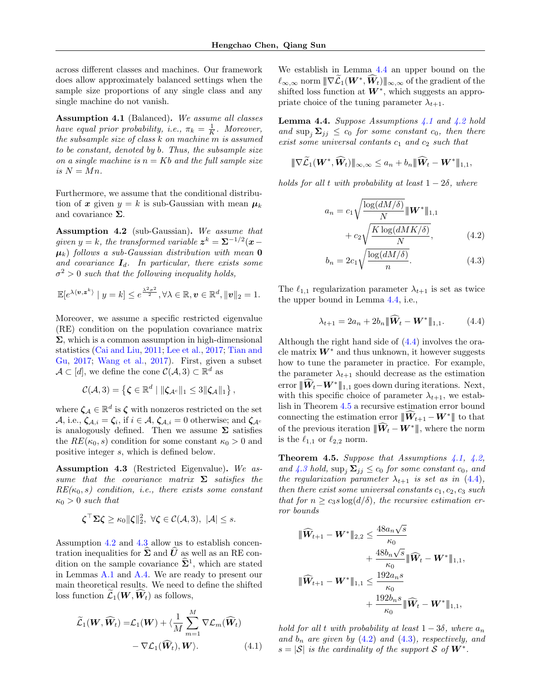across different classes and machines. Our framework does allow approximately balanced settings when the sample size proportions of any single class and any single machine do not vanish.

<span id="page-4-3"></span>Assumption 4.1 (Balanced). We assume all classes have equal prior probability, i.e.,  $\pi_k = \frac{1}{K}$ . Moreover, the subsample size of class k on machine m is assumed to be constant, denoted by b. Thus, the subsample size on a single machine is  $n = Kb$  and the full sample size is  $N = Mn$ .

Furthermore, we assume that the conditional distribution of x given  $y = k$  is sub-Gaussian with mean  $\mu_k$ and covariance  $\Sigma$ .

<span id="page-4-0"></span>Assumption 4.2 (sub-Gaussian). We assume that given  $y = k$ , the transformed variable  $z^k = \sum^{-1/2} (x \mu_k$ ) follows a sub-Gaussian distribution with mean **0** and covariance  $I_d$ . In particular, there exists some  $\sigma^2 > 0$  such that the following inequality holds,

$$
\mathbb{E}[e^{\lambda \langle \boldsymbol{v}, \boldsymbol{z}^k \rangle} \mid y = k] \leq e^{\frac{\lambda^2 \sigma^2}{2}}, \forall \lambda \in \mathbb{R}, \boldsymbol{v} \in \mathbb{R}^d, \|\boldsymbol{v}\|_2 = 1.
$$

Moreover, we assume a specific restricted eigenvalue (RE) condition on the population covariance matrix  $\Sigma$ , which is a common assumption in high-dimensional statistics [\(Cai and Liu,](#page-6-3) [2011;](#page-6-3) [Lee et al.,](#page-7-10) [2017;](#page-7-10) [Tian and](#page-7-17) [Gu,](#page-7-17) [2017;](#page-7-17) [Wang et al.,](#page-7-11) [2017\)](#page-7-11). First, given a subset  $\mathcal{A} \subset [d]$ , we define the cone  $\mathcal{C}(\mathcal{A}, 3) \subset \mathbb{R}^d$  as

$$
\mathcal{C}(\mathcal{A},3) = \left\{ \boldsymbol{\zeta} \in \mathbb{R}^d \mid \|\boldsymbol{\zeta}_{\mathcal{A}^c}\|_1 \leq 3 \|\boldsymbol{\zeta}_{\mathcal{A}}\|_1 \right\},\
$$

where  $\zeta_{\mathcal{A}} \in \mathbb{R}^d$  is  $\zeta$  with nonzeros restricted on the set  $\mathcal{A}, \text{ i.e., } \zeta_{\mathcal{A},i} = \zeta_i, \text{ if } i \in \mathcal{A}, \zeta_{\mathcal{A},i} = 0 \text{ otherwise; and } \zeta_{\mathcal{A}^c}$ is analogously defined. Then we assume  $\Sigma$  satisfies the  $RE(\kappa_0, s)$  condition for some constant  $\kappa_0 > 0$  and positive integer s, which is defined below.

<span id="page-4-1"></span>Assumption 4.3 (Restricted Eigenvalue). We assume that the covariance matrix  $\Sigma$  satisfies the  $RE(\kappa_0, s)$  condition, i.e., there exists some constant  $\kappa_0 > 0$  such that

$$
\boldsymbol{\zeta}^{\top} \boldsymbol{\Sigma} \boldsymbol{\zeta} \geq \kappa_0 \|\boldsymbol{\zeta}\|_2^2, \ \forall \boldsymbol{\zeta} \in \mathcal{C}(\mathcal{A}, 3), \ |\mathcal{A}| \leq s.
$$

Assumption [4.2](#page-4-0) and [4.3](#page-4-1) allow us to establish concentration inequalities for  $\hat{\Sigma}$  and  $\hat{U}$  as well as an RE condition on the sample covariance  $\hat{\Sigma}^1$ , which are stated in Lemmas [A.1](#page-9-0) and [A.4.](#page-10-0) We are ready to present our main theoretical results. We need to define the shifted loss function  $\mathcal{L}_1(\boldsymbol{W},\boldsymbol{W}_t)$  as follows,

$$
\widetilde{\mathcal{L}}_1(\mathbf{W}, \widehat{\mathbf{W}}_t) = \mathcal{L}_1(\mathbf{W}) + \langle \frac{1}{M} \sum_{m=1}^{M} \nabla \mathcal{L}_m(\widehat{\mathbf{W}}_t) - \nabla \mathcal{L}_1(\widehat{\mathbf{W}}_t), \mathbf{W} \rangle.
$$
\n(4.1)

We establish in Lemma [4.4](#page-4-2) an upper bound on the  $\ell_{\infty,\infty}$  norm  $\|\nabla \widetilde{\mathcal{L}}_1(\boldsymbol{W}^*, \widehat{\boldsymbol{W}}_t)\|_{\infty,\infty}$  of the gradient of the shifted loss function at  $W^*$ , which suggests an appropriate choice of the tuning parameter  $\lambda_{t+1}$ .

<span id="page-4-2"></span>**Lemma 4.4.** Suppose Assumptions  $4.1$  and  $4.2$  hold and  $\sup_i \Sigma_{ij} \leq c_0$  for some constant  $c_0$ , then there exist some universal contants  $c_1$  and  $c_2$  such that

$$
\|\nabla \widetilde{\mathcal{L}}_1(\boldsymbol{W}^*, \widehat{\boldsymbol{W}}_t)\|_{\infty,\infty} \leq a_n + b_n \|\widehat{\boldsymbol{W}}_t - \boldsymbol{W}^*\|_{1,1},
$$

holds for all t with probability at least  $1 - 2\delta$ , where

$$
a_n = c_1 \sqrt{\frac{\log(dM/\delta)}{N}} \|\mathbf{W}^*\|_{1,1}
$$

$$
+ c_2 \sqrt{\frac{K \log(dMK/\delta)}{N}}, \qquad (4.2)
$$

<span id="page-4-7"></span><span id="page-4-6"></span>
$$
b_n = 2c_1 \sqrt{\frac{\log(dM/\delta)}{n}}.\t(4.3)
$$

The  $\ell_{1,1}$  regularization parameter  $\lambda_{t+1}$  is set as twice the upper bound in Lemma [4.4,](#page-4-2) i.e.,

<span id="page-4-4"></span>
$$
\lambda_{t+1} = 2a_n + 2b_n \|\widehat{W}_t - W^*\|_{1,1}.
$$
 (4.4)

Although the right hand side of [\(4.4\)](#page-4-4) involves the oracle matrix  $W^*$  and thus unknown, it however suggests how to tune the parameter in practice. For example, the parameter  $\lambda_{t+1}$  should decrease as the estimation error  $\Vert \widetilde{W}_t - W^* \Vert_{1,1}$  goes down during iterations. Next, with this specific choice of parameter  $\lambda_{t+1}$ , we establish in Theorem [4.5](#page-4-5) a recursive estimation error bound connecting the estimation error  $\|\widehat{W}_{t+1} - W^*\|$  to that of the previous iteration  $\|\widehat{W}_t - W^*\|$ , where the norm is the  $\ell_{1,1}$  or  $\ell_{2,2}$  norm.

<span id="page-4-5"></span>**Theorem 4.5.** Suppose that Assumptions  $\angle 4.1$ ,  $\angle 4.2$ , and [4.3](#page-4-1) hold,  $\sup_i \Sigma_{ij} \le c_0$  for some constant  $c_0$ , and the regularization parameter  $\lambda_{t+1}$  is set as in [\(4.4\)](#page-4-4), then there exist some universal constants  $c_1, c_2, c_3$  such that for  $n \geq c_3 s \log(d/\delta)$ , the recursive estimation error bounds

$$
\begin{aligned}\n\|\widehat{\mathbf{W}}_{t+1} - \mathbf{W}^* \|_{2,2} &\leq \frac{48 a_n \sqrt{s}}{\kappa_0} \\
&+ \frac{48 b_n \sqrt{s}}{\kappa_0} \| \widehat{\mathbf{W}}_t - \mathbf{W}^* \|_{1,1}, \\
\|\widehat{\mathbf{W}}_{t+1} - \mathbf{W}^* \|_{1,1} &\leq \frac{192 a_n s}{\kappa_0} \\
&+ \frac{192 b_n s}{\kappa_0} \| \widehat{\mathbf{W}}_t - \mathbf{W}^* \|_{1,1},\n\end{aligned}
$$

hold for all t with probability at least  $1-3\delta$ , where  $a_n$ and  $b_n$  are given by  $(4.2)$  and  $(4.3)$ , respectively, and  $s = |\mathcal{S}|$  is the cardinality of the support S of  $W^*$ .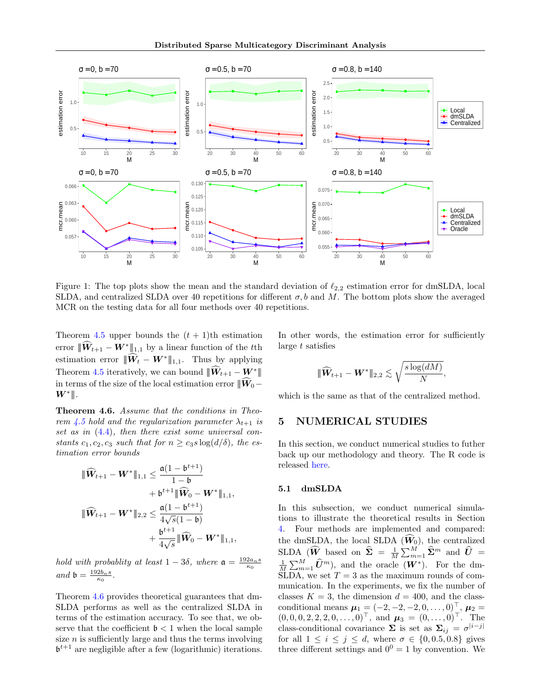Distributed Sparse Multicategory Discriminant Analysis



<span id="page-5-2"></span>Figure 1: The top plots show the mean and the standard deviation of  $\ell_{2,2}$  estimation error for dmSLDA, local SLDA, and centralized SLDA over 40 repetitions for different  $\sigma$ , b and M. The bottom plots show the averaged MCR on the testing data for all four methods over 40 repetitions.

Theorem [4.5](#page-4-5) upper bounds the  $(t + 1)$ <sup>th</sup> estimation error  $\Vert \widehat{W}_{t+1} - W^* \Vert_{1,1}$  by a linear function of the t<sup>th</sup> estimation error  $\|\widehat{W}_t - W^*\|_{1,1}$ . Thus by applying Theorem [4.5](#page-4-5) iteratively, we can bound  $\|\widehat{W}_{t+1} - W^*\|$ in terms of the size of the local estimation error  $|\!|\hat{W}_0-\rangle$  $W^*$ ∥.

<span id="page-5-1"></span>Theorem 4.6. Assume that the conditions in Theo-rem [4.5](#page-4-5) hold and the regularization parameter  $\lambda_{t+1}$  is set as in [\(4.4\)](#page-4-4), then there exist some universal constants  $c_1, c_2, c_3$  such that for  $n \geq c_3 s \log(d/\delta)$ , the estimation error bounds

$$
\begin{aligned}\n\|\widehat{\boldsymbol{W}}_{t+1}-\boldsymbol{W}^*\|_{1,1} &\leq \frac{\mathfrak{a}(1-\mathfrak{b}^{t+1})}{1-\mathfrak{b}} \\
&+ \mathfrak{b}^{t+1} \|\widehat{\boldsymbol{W}}_0-\boldsymbol{W}^*\|_{1,1}, \\
\|\widehat{\boldsymbol{W}}_{t+1}-\boldsymbol{W}^*\|_{2,2} &\leq \frac{\mathfrak{a}(1-\mathfrak{b}^{t+1})}{4\sqrt{s}(1-\mathfrak{b})} \\
&+ \frac{\mathfrak{b}^{t+1}}{4\sqrt{s}}\|\widehat{\boldsymbol{W}}_0-\boldsymbol{W}^*\|_{1,1},\n\end{aligned}
$$

hold with probablity at least  $1-3\delta$ , where  $\mathfrak{a} = \frac{192a_n s}{\kappa_0}$ and  $\mathfrak{b} = \frac{192b_ns}{\kappa_0}.$ 

Theorem [4.6](#page-5-1) provides theoretical guarantees that dm-SLDA performs as well as the centralized SLDA in terms of the estimation accuracy. To see that, we observe that the coefficient  $\mathfrak{b} < 1$  when the local sample size  $n$  is sufficiently large and thus the terms involving  $\mathfrak{b}^{t+1}$  are negligible after a few (logarithmic) iterations.

In other words, the estimation error for sufficiently large  $t$  satisfies

$$
|\!|\!| \widehat {\boldsymbol W}_{t+1} - {\boldsymbol W}^* |\!|\!|_{2,2} \lesssim \sqrt{\frac{s \log(dM)}{N}},
$$

which is the same as that of the centralized method.

## <span id="page-5-0"></span>5 NUMERICAL STUDIES

In this section, we conduct numerical studies to futher back up our methodology and theory. The R code is released [here.](https://github.com/HengchaoChen/dmSLDA.git)

#### 5.1 dmSLDA

In this subsection, we conduct numerical simulations to illustrate the theoretical results in Section [4.](#page-3-0) Four methods are implemented and compared: the dmSLDA, the local SLDA  $(W_0)$ , the centralized  $\text{SLDA }(\widehat{W} \text{ based on } \widehat{\Sigma} = \frac{1}{M} \sum_{m=1}^{M} \widehat{\Sigma}^m \text{ and } \widehat{U} = \frac{1}{M} \sum_{m=1}^{M} \widehat{U}^m$ , and the oracle  $(W^*)$ . For the dm-SLDA, we set  $T = 3$  as the maximum rounds of communication. In the experiments, we fix the number of classes  $K = 3$ , the dimension  $d = 400$ , and the classconditional means  $\mu_1 = (-2, -2, -2, 0, \dots, 0)^\top$ ,  $\mu_2 =$  $(0, 0, 0, 2, 2, 2, 0, \ldots, 0)^\top$ , and  $\boldsymbol{\mu}_3 = (0, \ldots, 0)^\top$ . The class-conditional covariance  $\Sigma$  is set as  $\Sigma_{ij} = \sigma^{|i-j|}$ for all  $1 \leq i \leq j \leq d$ , where  $\sigma \in \{0, 0.5, 0.8\}$  gives three different settings and  $0^0 = 1$  by convention. We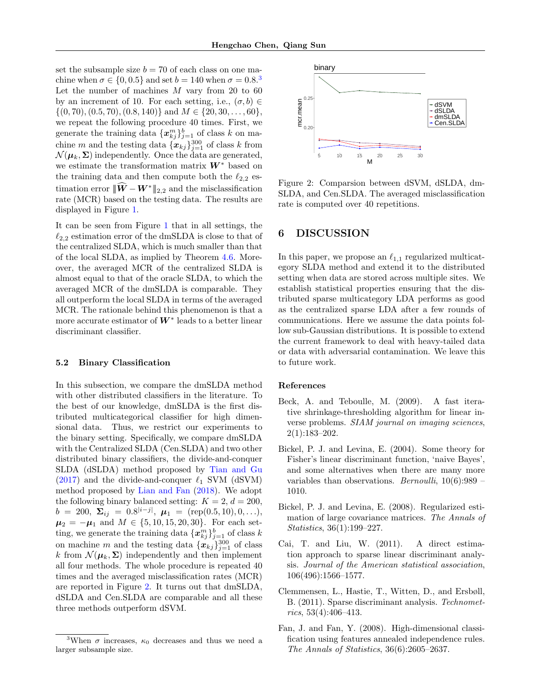set the subsample size  $b = 70$  of each class on one machine when  $\sigma \in \{0, 0.5\}$  and set  $b = 140$  when  $\sigma = 0.8$ <sup>[3](#page-6-7)</sup> Let the number of machines  $M$  vary from 20 to 60 by an increment of 10. For each setting, i.e.,  $(\sigma, b) \in$  $\{(0, 70), (0.5, 70), (0.8, 140)\}\$ and  $M \in \{20, 30, \ldots, 60\},\$ we repeat the following procedure 40 times. First, we generate the training data  $\{\boldsymbol{x}_{kj}^{m}\}_{j=1}^{b}$  of class  $k$  on machine m and the testing data  ${x_{kj}}_{j=1}^{300}$  of class k from  $\mathcal{N}(\boldsymbol{\mu}_k, \boldsymbol{\Sigma})$  independently. Once the data are generated, we estimate the transformation matrix  $W^*$  based on the training data and then compute both the  $\ell_{2,2}$  estimation error  $||\hat{\boldsymbol{W}} - \boldsymbol{W}^*||_{2,2}$  and the misclassification rate (MCR) based on the testing data. The results are displayed in Figure [1.](#page-5-2)

It can be seen from Figure [1](#page-5-2) that in all settings, the  $\ell_{2,2}$  estimation error of the dmSLDA is close to that of the centralized SLDA, which is much smaller than that of the local SLDA, as implied by Theorem [4.6.](#page-5-1) Moreover, the averaged MCR of the centralized SLDA is almost equal to that of the oracle SLDA, to which the averaged MCR of the dmSLDA is comparable. They all outperform the local SLDA in terms of the averaged MCR. The rationale behind this phenomenon is that a more accurate estimator of  $W^*$  leads to a better linear discriminant classifier.

### 5.2 Binary Classification

In this subsection, we compare the dmSLDA method with other distributed classifiers in the literature. To the best of our knowledge, dmSLDA is the first distributed multicategorical classifier for high dimensional data. Thus, we restrict our experiments to the binary setting. Specifically, we compare dmSLDA with the Centralized SLDA (Cen.SLDA) and two other distributed binary classifiers, the divide-and-conquer SLDA (dSLDA) method proposed by [Tian and Gu](#page-7-17)  $(2017)$  and the divide-and-conquer  $\ell_1$  SVM (dSVM) method proposed by [Lian and Fan](#page-7-16) [\(2018\)](#page-7-16). We adopt the following binary balanced setting:  $K = 2, d = 200$ ,  $b = 200, \ \boldsymbol{\Sigma}_{ij} = 0.8^{|i-j|}, \ \boldsymbol{\mu}_1 = (\mathrm{rep}(0.5, 10), 0, \ldots),$  $\mu_2 = -\mu_1$  and  $M \in \{5, 10, 15, 20, 30\}$ . For each setting, we generate the training data  $\{x_{kj}^m\}_{j=1}^b$  of class k on machine m and the testing data  $\{\boldsymbol{x}_{kj}\}_{j=1}^{300}$  of class k from  $\mathcal{N}(\mu_k, \Sigma)$  independently and then implement all four methods. The whole procedure is repeated 40 times and the averaged misclassification rates (MCR) are reported in Figure [2.](#page-6-8) It turns out that dmSLDA, dSLDA and Cen.SLDA are comparable and all these three methods outperform dSVM.



<span id="page-6-8"></span>Figure 2: Comparsion between dSVM, dSLDA, dm-SLDA, and Cen.SLDA. The averaged misclassification rate is computed over 40 repetitions.

### <span id="page-6-5"></span>6 DISCUSSION

In this paper, we propose an  $\ell_{1,1}$  regularized multicategory SLDA method and extend it to the distributed setting when data are stored across multiple sites. We establish statistical properties ensuring that the distributed sparse multicategory LDA performs as good as the centralized sparse LDA after a few rounds of communications. Here we assume the data points follow sub-Gaussian distributions. It is possible to extend the current framework to deal with heavy-tailed data or data with adversarial contamination. We leave this to future work.

#### References

- <span id="page-6-6"></span>Beck, A. and Teboulle, M. (2009). A fast iterative shrinkage-thresholding algorithm for linear inverse problems. SIAM journal on imaging sciences, 2(1):183–202.
- <span id="page-6-2"></span>Bickel, P. J. and Levina, E. (2004). Some theory for Fisher's linear discriminant function, 'naive Bayes', and some alternatives when there are many more variables than observations. *Bernoulli*,  $10(6):989$  – 1010.
- <span id="page-6-0"></span>Bickel, P. J. and Levina, E. (2008). Regularized estimation of large covariance matrices. The Annals of Statistics, 36(1):199–227.
- <span id="page-6-3"></span>Cai, T. and Liu, W. (2011). A direct estimation approach to sparse linear discriminant analysis. Journal of the American statistical association, 106(496):1566–1577.
- <span id="page-6-4"></span>Clemmensen, L., Hastie, T., Witten, D., and Ersbøll, B. (2011). Sparse discriminant analysis. Technometrics, 53(4):406–413.
- <span id="page-6-1"></span>Fan, J. and Fan, Y. (2008). High-dimensional classification using features annealed independence rules. The Annals of Statistics, 36(6):2605–2637.

<span id="page-6-7"></span><sup>&</sup>lt;sup>3</sup>When  $\sigma$  increases,  $\kappa_0$  decreases and thus we need a larger subsample size.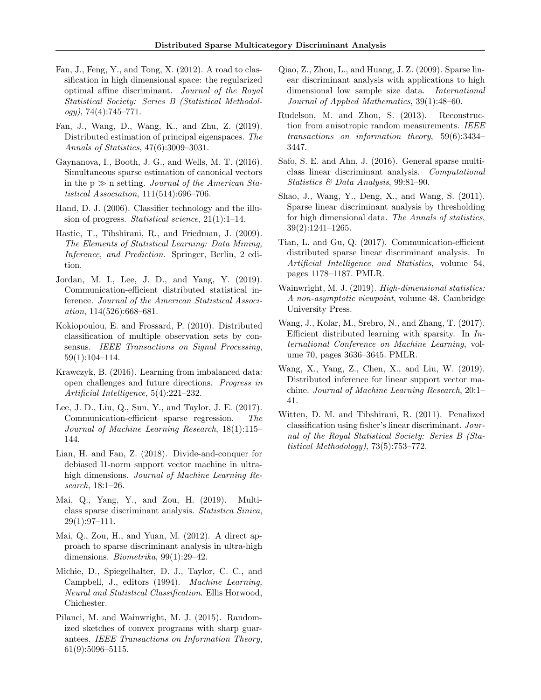- <span id="page-7-3"></span>Fan, J., Feng, Y., and Tong, X. (2012). A road to classification in high dimensional space: the regularized optimal affine discriminant. Journal of the Royal Statistical Society: Series B (Statistical Methodology), 74(4):745–771.
- <span id="page-7-12"></span>Fan, J., Wang, D., Wang, K., and Zhu, Z. (2019). Distributed estimation of principal eigenspaces. The Annals of Statistics, 47(6):3009–3031.
- <span id="page-7-9"></span>Gaynanova, I., Booth, J. G., and Wells, M. T. (2016). Simultaneous sparse estimation of canonical vectors in the  $p \gg n$  setting. Journal of the American Statistical Association, 111(514):696–706.
- <span id="page-7-0"></span>Hand, D. J. (2006). Classifier technology and the illusion of progress. Statistical science, 21(1):1–14.
- <span id="page-7-18"></span>Hastie, T., Tibshirani, R., and Friedman, J. (2009). The Elements of Statistical Learning: Data Mining, Inference, and Prediction. Springer, Berlin, 2 edition.
- <span id="page-7-13"></span>Jordan, M. I., Lee, J. D., and Yang, Y. (2019). Communication-efficient distributed statistical inference. Journal of the American Statistical Association, 114(526):668–681.
- <span id="page-7-14"></span>Kokiopoulou, E. and Frossard, P. (2010). Distributed classification of multiple observation sets by consensus. IEEE Transactions on Signal Processing, 59(1):104–114.
- <span id="page-7-19"></span>Krawczyk, B. (2016). Learning from imbalanced data: open challenges and future directions. Progress in Artificial Intelligence, 5(4):221–232.
- <span id="page-7-10"></span>Lee, J. D., Liu, Q., Sun, Y., and Taylor, J. E. (2017). Communication-efficient sparse regression. The Journal of Machine Learning Research, 18(1):115– 144.
- <span id="page-7-16"></span>Lian, H. and Fan, Z. (2018). Divide-and-conquer for debiased l1-norm support vector machine in ultrahigh dimensions. Journal of Machine Learning Research, 18:1–26.
- <span id="page-7-7"></span>Mai, Q., Yang, Y., and Zou, H. (2019). Multiclass sparse discriminant analysis. Statistica Sinica, 29(1):97–111.
- <span id="page-7-4"></span>Mai, Q., Zou, H., and Yuan, M. (2012). A direct approach to sparse discriminant analysis in ultra-high dimensions. Biometrika, 99(1):29–42.
- <span id="page-7-1"></span>Michie, D., Spiegelhalter, D. J., Taylor, C. C., and Campbell, J., editors (1994). Machine Learning, Neural and Statistical Classification. Ellis Horwood, Chichester.
- <span id="page-7-21"></span>Pilanci, M. and Wainwright, M. J. (2015). Randomized sketches of convex programs with sharp guarantees. IEEE Transactions on Information Theory, 61(9):5096–5115.
- <span id="page-7-6"></span>Qiao, Z., Zhou, L., and Huang, J. Z. (2009). Sparse linear discriminant analysis with applications to high dimensional low sample size data. International Journal of Applied Mathematics, 39(1):48–60.
- <span id="page-7-20"></span>Rudelson, M. and Zhou, S. (2013). Reconstruction from anisotropic random measurements. IEEE transactions on information theory, 59(6):3434– 3447.
- <span id="page-7-8"></span>Safo, S. E. and Ahn, J. (2016). General sparse multiclass linear discriminant analysis. Computational Statistics & Data Analysis, 99:81–90.
- <span id="page-7-5"></span>Shao, J., Wang, Y., Deng, X., and Wang, S. (2011). Sparse linear discriminant analysis by thresholding for high dimensional data. The Annals of statistics, 39(2):1241–1265.
- <span id="page-7-17"></span>Tian, L. and Gu, Q. (2017). Communication-efficient distributed sparse linear discriminant analysis. In Artificial Intelligence and Statistics, volume 54, pages 1178–1187. PMLR.
- <span id="page-7-22"></span>Wainwright, M. J. (2019). High-dimensional statistics: A non-asymptotic viewpoint, volume 48. Cambridge University Press.
- <span id="page-7-11"></span>Wang, J., Kolar, M., Srebro, N., and Zhang, T. (2017). Efficient distributed learning with sparsity. In International Conference on Machine Learning, volume 70, pages 3636–3645. PMLR.
- <span id="page-7-15"></span>Wang, X., Yang, Z., Chen, X., and Liu, W. (2019). Distributed inference for linear support vector machine. Journal of Machine Learning Research, 20:1– 41.
- <span id="page-7-2"></span>Witten, D. M. and Tibshirani, R. (2011). Penalized classification using fisher's linear discriminant. Journal of the Royal Statistical Society: Series B (Statistical Methodology), 73(5):753–772.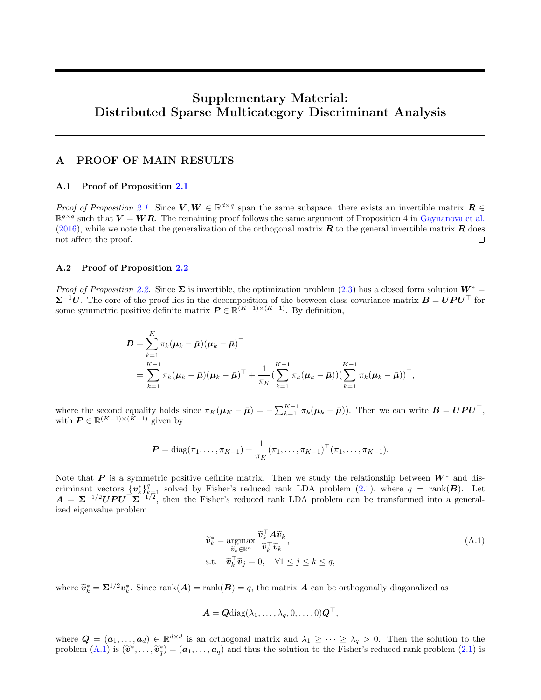# Supplementary Material: Distributed Sparse Multicategory Discriminant Analysis

# A PROOF OF MAIN RESULTS

### A.1 Proof of Proposition [2.1](#page-2-1)

Proof of Proposition [2.1.](#page-2-1) Since  $V, W \in \mathbb{R}^{d \times q}$  span the same subspace, there exists an invertible matrix  $R \in$  $\mathbb{R}^{q \times q}$  such that  $V = WR$ . The remaining proof follows the same argument of Proposition 4 in [Gaynanova et al.](#page-7-9) [\(2016\)](#page-7-9), while we note that the generalization of the orthogonal matrix  $R$  to the general invertible matrix  $R$  does not affect the proof.  $\Box$ 

### A.2 Proof of Proposition [2.2](#page-2-2)

Proof of Proposition [2.2.](#page-2-2) Since  $\Sigma$  is invertible, the optimization problem [\(2.3\)](#page-2-3) has a closed form solution  $W^* =$  $\Sigma^{-1}U$ . The core of the proof lies in the decomposition of the between-class covariance matrix  $B = UPU^{\top}$  for some symmetric positive definite matrix  $\boldsymbol{P} \in \mathbb{R}^{(K-1)\times (K-1)}$ . By definition,

$$
B = \sum_{k=1}^{K} \pi_k (\mu_k - \bar{\mu}) (\mu_k - \bar{\mu})^{\top}
$$
  
= 
$$
\sum_{k=1}^{K-1} \pi_k (\mu_k - \bar{\mu}) (\mu_k - \bar{\mu})^{\top} + \frac{1}{\pi_K} (\sum_{k=1}^{K-1} \pi_k (\mu_k - \bar{\mu})) (\sum_{k=1}^{K-1} \pi_k (\mu_k - \bar{\mu}))^{\top},
$$

where the second equality holds since  $\pi_K(\mu_K - \bar{\mu}) = -\sum_{k=1}^{K-1} \pi_k(\mu_k - \bar{\mu})$ . Then we can write  $\mathbf{B} = \mathbf{U} \mathbf{P} \mathbf{U}^{\top}$ , with  $\boldsymbol{P} \in \mathbb{R}^{(K-1)\times (K-1)}$  given by

$$
\boldsymbol{P} = \text{diag}(\pi_1, \ldots, \pi_{K-1}) + \frac{1}{\pi_K} (\pi_1, \ldots, \pi_{K-1})^\top (\pi_1, \ldots, \pi_{K-1}).
$$

Note that P is a symmetric positive definite matrix. Then we study the relationship between  $W^*$  and discriminant vectors  $\{v_k^*\}_{k=1}^q$  solved by Fisher's reduced rank LDA problem [\(2.1\)](#page-1-1), where  $q = \text{rank}(B)$ . Let  $A = \Sigma^{-1/2} UPU^{\top} \Sigma^{-1/2}$ , then the Fisher's reduced rank LDA problem can be transformed into a generalized eigenvalue problem

<span id="page-8-0"></span>
$$
\widetilde{\mathbf{v}}_k^* = \underset{\widetilde{\mathbf{v}}_k \in \mathbb{R}^d}{\operatorname{argmax}} \frac{\widetilde{\mathbf{v}}_k^\top \mathbf{A} \widetilde{\mathbf{v}}_k}{\widetilde{\mathbf{v}}_k^\top \widetilde{\mathbf{v}}_k},
$$
\n
$$
\text{s.t.} \quad \widetilde{\mathbf{v}}_k^\top \widetilde{\mathbf{v}}_j = 0, \quad \forall 1 \le j \le k \le q,
$$
\n
$$
(A.1)
$$

where  $\widetilde{\mathbf{v}}_k^* = \mathbf{\Sigma}^{1/2} \mathbf{v}_k^*$ . Since  $\text{rank}(\mathbf{A}) = \text{rank}(\mathbf{B}) = q$ , the matrix  $\mathbf{A}$  can be orthogonally diagonalized as

$$
\boldsymbol{A} = \boldsymbol{Q} \text{diag}(\lambda_1, \ldots, \lambda_q, 0, \ldots, 0) \boldsymbol{Q}^\top,
$$

where  $\mathbf{Q} = (\mathbf{a}_1, \dots, \mathbf{a}_d) \in \mathbb{R}^{d \times d}$  is an orthogonal matrix and  $\lambda_1 \geq \cdots \geq \lambda_q > 0$ . Then the solution to the problem  $(A.1)$  is  $(\tilde{\mathbf{v}}_1^*, \ldots, \tilde{\mathbf{v}}_q^*) = (\mathbf{a}_1, \ldots, \mathbf{a}_q)$  and thus the solution to the Fisher's reduced rank problem  $(2.1)$  is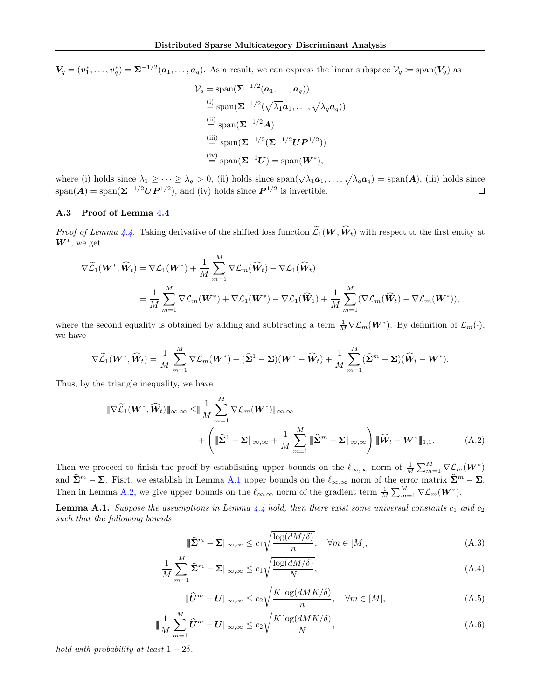$V_q=(v_1^*,\ldots,v_q^*)=\Sigma^{-1/2}(\boldsymbol{a}_1,\ldots,\boldsymbol{a}_q).$  As a result, we can express the linear subspace  $\mathcal{V}_q\coloneqq\text{span}(\boldsymbol{V}_q)$  as

$$
\mathcal{V}_q = \text{span}(\mathbf{\Sigma}^{-1/2}(\boldsymbol{a}_1, \dots, \boldsymbol{a}_q))
$$
  
\n
$$
\stackrel{\text{(i)}}{=} \text{span}(\mathbf{\Sigma}^{-1/2}(\sqrt{\lambda_1} \boldsymbol{a}_1, \dots, \sqrt{\lambda_q} \boldsymbol{a}_q))
$$
  
\n
$$
\stackrel{\text{(ii)}}{=} \text{span}(\mathbf{\Sigma}^{-1/2} \boldsymbol{A})
$$
  
\n
$$
\stackrel{\text{(iii)}}{=} \text{span}(\mathbf{\Sigma}^{-1/2}(\mathbf{\Sigma}^{-1/2} \boldsymbol{U} \boldsymbol{P}^{1/2}))
$$
  
\n
$$
\stackrel{\text{(iv)}}{=} \text{span}(\mathbf{\Sigma}^{-1} \boldsymbol{U}) = \text{span}(\boldsymbol{W}^*),
$$

where (i) holds since  $\lambda_1 \geq \cdots \geq \lambda_q > 0$ , (ii) holds since  $\text{span}(\sqrt{\lambda_1}a_1,\ldots,\sqrt{\lambda_q}a_q) = \text{span}(A)$ , (iii) holds since  $\text{span}(\mathbf{A}) = \text{span}(\mathbf{\Sigma}^{-1/2}\mathbf{U}\mathbf{P}^{1/2}),$  and (iv) holds since  $\mathbf{P}^{1/2}$  is invertible.  $\Box$ 

### A.3 Proof of Lemma [4.4](#page-4-2)

*Proof of Lemma [4.4.](#page-4-2)* Taking derivative of the shifted loss function  $\widetilde{\mathcal{L}}_1(\bm{W},\widehat{\bm{W}}_t)$  with respect to the first entity at  $W^*$ , we get

$$
\nabla \widetilde{\mathcal{L}}_1(\boldsymbol{W}^*, \widehat{\boldsymbol{W}}_t) = \nabla \mathcal{L}_1(\boldsymbol{W}^*) + \frac{1}{M} \sum_{m=1}^M \nabla \mathcal{L}_m(\widehat{\boldsymbol{W}}_t) - \nabla \mathcal{L}_1(\widehat{\boldsymbol{W}}_t)
$$
  
= 
$$
\frac{1}{M} \sum_{m=1}^M \nabla \mathcal{L}_m(\boldsymbol{W}^*) + \nabla \mathcal{L}_1(\boldsymbol{W}^*) - \nabla \mathcal{L}_1(\widehat{\boldsymbol{W}}_1) + \frac{1}{M} \sum_{m=1}^M (\nabla \mathcal{L}_m(\widehat{\boldsymbol{W}}_t) - \nabla \mathcal{L}_m(\boldsymbol{W}^*)),
$$

where the second equality is obtained by adding and subtracting a term  $\frac{1}{M} \nabla \mathcal{L}_m(\mathbf{W}^*)$ . By definition of  $\mathcal{L}_m(\cdot)$ , we have

$$
\nabla \widetilde{\mathcal{L}}_1(\boldsymbol{W}^*, \widehat{\boldsymbol{W}}_t) = \frac{1}{M} \sum_{m=1}^M \nabla \mathcal{L}_m(\boldsymbol{W}^*) + (\widehat{\boldsymbol{\Sigma}}^1 - \boldsymbol{\Sigma})(\boldsymbol{W}^* - \widehat{\boldsymbol{W}}_t) + \frac{1}{M} \sum_{m=1}^M (\widehat{\boldsymbol{\Sigma}}^m - \boldsymbol{\Sigma})(\widehat{\boldsymbol{W}}_t - \boldsymbol{W}^*).
$$

Thus, by the triangle inequality, we have

$$
\begin{split} \|\nabla \widetilde{\mathcal{L}}_1(\mathbf{W}^*, \widehat{\mathbf{W}}_t) \|_{\infty,\infty} &\leq \|\frac{1}{M} \sum_{m=1}^M \nabla \mathcal{L}_m(\mathbf{W}^*) \|_{\infty,\infty} \\ &+ \left( \|\widehat{\boldsymbol{\Sigma}}^1 - \boldsymbol{\Sigma} \|_{\infty,\infty} + \frac{1}{M} \sum_{m=1}^M \|\widehat{\boldsymbol{\Sigma}}^m - \boldsymbol{\Sigma} \|_{\infty,\infty} \right) \|\widehat{\mathbf{W}}_t - \mathbf{W}^* \|_{1,1}. \end{split} \tag{A.2}
$$

Then we proceed to finish the proof by establishing upper bounds on the  $\ell_{\infty,\infty}$  norm of  $\frac{1}{M} \sum_{m=1}^{M} \nabla \mathcal{L}_m(\mathbf{W}^*)$ and  $\hat{\Sigma}^m - \Sigma$ . Fisrt, we establish in Lemma [A.1](#page-9-0) upper bounds on the  $\ell_{\infty,\infty}$  norm of the error matrix  $\hat{\Sigma}^m - \Sigma$ . Then in Lemma [A.2,](#page-10-1) we give upper bounds on the  $\ell_{\infty,\infty}$  norm of the gradient term  $\frac{1}{M} \sum_{m=1}^{M} \nabla \mathcal{L}_m(\boldsymbol{W}^*)$ .

<span id="page-9-0"></span>**Lemma A.1.** Suppose the assumptions in Lemma [4.4](#page-4-2) hold, then there exist some universal constants  $c_1$  and  $c_2$ such that the following bounds

<span id="page-9-5"></span><span id="page-9-3"></span><span id="page-9-2"></span><span id="page-9-1"></span>
$$
\|\widehat{\mathbf{\Sigma}}^{m} - \mathbf{\Sigma}\|_{\infty,\infty} \le c_1 \sqrt{\frac{\log(dM/\delta)}{n}}, \quad \forall m \in [M],
$$
\n(A.3)

$$
\|\frac{1}{M}\sum_{m=1}^{M}\widehat{\Sigma}^{m} - \Sigma\|_{\infty,\infty} \le c_1 \sqrt{\frac{\log(dM/\delta)}{N}},\tag{A.4}
$$

<span id="page-9-4"></span>
$$
\|\widehat{U}^m - U\|_{\infty,\infty} \le c_2 \sqrt{\frac{K \log(dMK/\delta)}{n}}, \quad \forall m \in [M],
$$
\n(A.5)

$$
\|\frac{1}{M}\sum_{m=1}^{M}\widehat{U}^{m} - U\|_{\infty,\infty} \leq c_2 \sqrt{\frac{K\log(dMK/\delta)}{N}},
$$
\n(A.6)

hold with probability at least  $1 - 2\delta$ .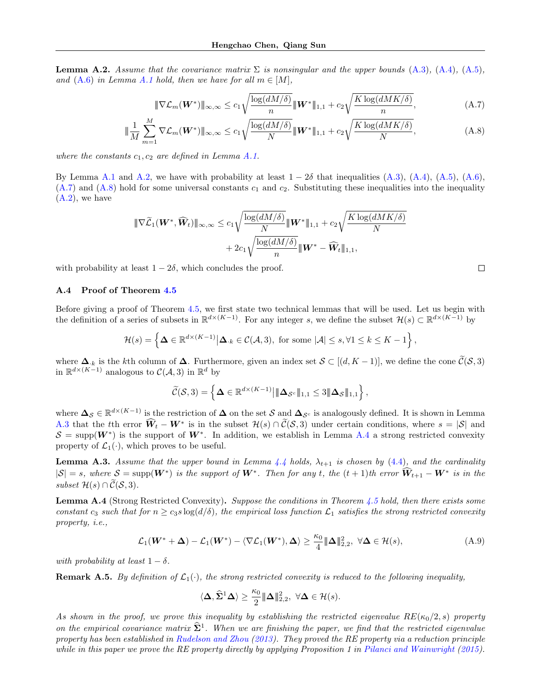<span id="page-10-1"></span>**Lemma A.2.** Assume that the covariance matrix  $\Sigma$  is nonsingular and the upper bounds [\(A.3\)](#page-9-1), [\(A.4\)](#page-9-2), [\(A.5\)](#page-9-3), and  $(A.6)$  in Lemma [A.1](#page-9-0) hold, then we have for all  $m \in [M]$ ,

$$
\|\nabla \mathcal{L}_m(\boldsymbol{W}^*)\|_{\infty,\infty} \le c_1 \sqrt{\frac{\log(dM/\delta)}{n}} \|\boldsymbol{W}^*\|_{1,1} + c_2 \sqrt{\frac{K\log(dMK/\delta)}{n}},\tag{A.7}
$$

$$
\|\frac{1}{M}\sum_{m=1}^{M}\nabla \mathcal{L}_m(\boldsymbol{W}^*)\|_{\infty,\infty} \le c_1 \sqrt{\frac{\log(dM/\delta)}{N}} \|\boldsymbol{W}^*\|_{1,1} + c_2 \sqrt{\frac{K\log(dMK/\delta)}{N}},
$$
(A.8)

where the constants  $c_1, c_2$  are defined in Lemma [A.1.](#page-9-0)

By Lemma [A.1](#page-9-0) and [A.2,](#page-10-1) we have with probability at least  $1 - 2\delta$  that inequalities [\(A.3\)](#page-9-1), [\(A.4\)](#page-9-2), [\(A.5\)](#page-9-3), [\(A.6\)](#page-9-4),  $(A.7)$  and  $(A.8)$  hold for some universal constants  $c_1$  and  $c_2$ . Substituting these inequalities into the inequality  $(A.2)$ , we have

$$
\begin{aligned} \|\nabla \widetilde{\mathcal{L}}_1(\boldsymbol{W}^*, \widehat{\boldsymbol{W}}_t) \|_{\infty,\infty} &\leq c_1 \sqrt{\frac{\log(dM/\delta)}{N}} \| \boldsymbol{W}^* \|_{1,1} + c_2 \sqrt{\frac{K \log(dMK/\delta)}{N}} \\ &+ 2c_1 \sqrt{\frac{\log(dM/\delta)}{n}} \| \boldsymbol{W}^* - \widehat{\boldsymbol{W}}_t \|_{1,1}, \end{aligned}
$$

with probability at least  $1 - 2\delta$ , which concludes the proof.

### A.4 Proof of Theorem [4.5](#page-4-5)

Before giving a proof of Theorem [4.5,](#page-4-5) we first state two technical lemmas that will be used. Let us begin with the definition of a series of subsets in  $\mathbb{R}^{d \times (K-1)}$ . For any integer s, we define the subset  $\mathcal{H}(s) \subset \mathbb{R}^{d \times (K-1)}$  by

$$
\mathcal{H}(s) = \left\{ \Delta \in \mathbb{R}^{d \times (K-1)} \big| \Delta_{\cdot k} \in \mathcal{C}(\mathcal{A}, 3), \text{ for some } |\mathcal{A}| \le s, \forall 1 \le k \le K - 1 \right\},\
$$

where  $\Delta_{\cdot,k}$  is the kth column of  $\Delta$ . Furthermore, given an index set  $S \subset [(d, K-1)]$ , we define the cone  $\widetilde{C}(S, 3)$ in  $\mathbb{R}^{d \times (K-1)}$  analogous to  $\mathcal{C}(\mathcal{A},3)$  in  $\mathbb{R}^d$  by

$$
\widetilde{\mathcal{C}}(\mathcal{S},3) = \left\{ \mathbf{\Delta} \in \mathbb{R}^{d \times (K-1)} \middle| \|\mathbf{\Delta}_{\mathcal{S}^c}\|_{1,1} \leq 3 \|\mathbf{\Delta}_{\mathcal{S}}\|_{1,1} \right\},\
$$

where  $\Delta_{\mathcal{S}} \in \mathbb{R}^{d \times (K-1)}$  is the restriction of  $\Delta$  on the set S and  $\Delta_{\mathcal{S}^c}$  is analogously defined. It is shown in Lemma [A.3](#page-10-4) that the tth error  $\hat{W}_t - W^*$  is in the subset  $\mathcal{H}(s) \cap \tilde{\mathcal{C}}(\mathcal{S}, 3)$  under certain conditions, where  $s = |\mathcal{S}|$  and  $S = \text{supp}(W^*)$  is the support of  $W^*$ . In addition, we establish in Lemma [A.4](#page-10-0) a strong restricted convexity property of  $\mathcal{L}_1(\cdot)$ , which proves to be useful.

<span id="page-10-4"></span>**Lemma A.3.** Assume that the upper bound in Lemma [4.4](#page-4-2) holds,  $\lambda_{t+1}$  is chosen by [\(4.4\)](#page-4-4), and the cardinality  $|S| = s$ , where  $S = \text{supp}(W^*)$  is the support of  $W^*$ . Then for any t, the  $(t + 1)$ th error  $\widehat{W}_{t+1} - W^*$  is in the subset  $\mathcal{H}(s) \cap \widetilde{\mathcal{C}}(\mathcal{S},3)$ .

<span id="page-10-0"></span>Lemma A.4 (Strong Restricted Convexity). Suppose the conditions in Theorem [4.5](#page-4-5) hold, then there exists some constant c<sub>3</sub> such that for  $n \geq c_3 s \log(d/\delta)$ , the empirical loss function  $\mathcal{L}_1$  satisfies the strong restricted convexity property, i.e.,

$$
\mathcal{L}_1(\boldsymbol{W}^* + \boldsymbol{\Delta}) - \mathcal{L}_1(\boldsymbol{W}^*) - \langle \nabla \mathcal{L}_1(\boldsymbol{W}^*), \boldsymbol{\Delta} \rangle \ge \frac{\kappa_0}{4} \|\boldsymbol{\Delta}\|_{2,2}^2, \ \forall \boldsymbol{\Delta} \in \mathcal{H}(s), \tag{A.9}
$$

with probability at least  $1 - \delta$ .

**Remark A.5.** By definition of  $\mathcal{L}_1(\cdot)$ , the strong restricted convexity is reduced to the following inequality,

$$
\langle \Delta, \widehat{\Sigma}^1 \Delta \rangle \ge \frac{\kappa_0}{2} {\|\Delta\|_{2,2}^2}, \ \forall \Delta \in \mathcal{H}(s).
$$

As shown in the proof, we prove this inequality by establishing the restricted eigenvalue  $RE(\kappa_0/2, s)$  property on the empirical covariance matrix  $\hat{\Sigma}^1$ . When we are finishing the paper, we find that the restricted eigenvalue property has been established in [Rudelson and Zhou](#page-7-20) [\(2013\)](#page-7-20). They proved the RE property via a reduction principle while in this paper we prove the RE property directly by applying Proposition 1 in [Pilanci and Wainwright](#page-7-21) [\(2015\)](#page-7-21).

<span id="page-10-5"></span><span id="page-10-3"></span><span id="page-10-2"></span> $\Box$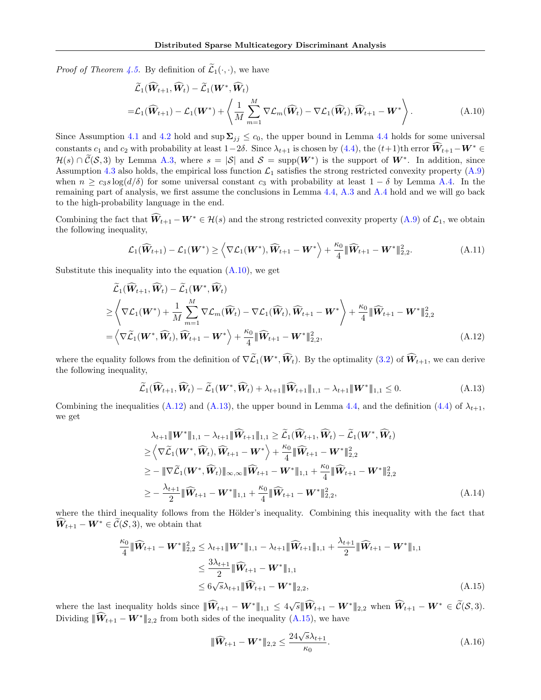*Proof of Theorem [4.5.](#page-4-5)* By definition of  $\widetilde{\mathcal{L}}_1(\cdot, \cdot)$ , we have

<span id="page-11-0"></span>
$$
\widetilde{\mathcal{L}}_1(\widehat{\mathbf{W}}_{t+1}, \widehat{\mathbf{W}}_t) - \widetilde{\mathcal{L}}_1(\mathbf{W}^*, \widehat{\mathbf{W}}_t) \n= \mathcal{L}_1(\widehat{\mathbf{W}}_{t+1}) - \mathcal{L}_1(\mathbf{W}^*) + \left\langle \frac{1}{M} \sum_{m=1}^M \nabla \mathcal{L}_m(\widehat{\mathbf{W}}_t) - \nabla \mathcal{L}_1(\widehat{\mathbf{W}}_t), \widehat{\mathbf{W}}_{t+1} - \mathbf{W}^* \right\rangle.
$$
\n(A.10)

Since Assumption [4.1](#page-4-3) and [4.2](#page-4-0) hold and sup  $\Sigma_{ij} \leq c_0$ , the upper bound in Lemma [4.4](#page-4-2) holds for some universal constants  $c_1$  and  $c_2$  with probability at least  $1-2\delta$ . Since  $\lambda_{t+1}$  is chosen by  $(4.4)$ , the  $(t+1)$ th error  $\widehat{W}_{t+1}-W^* \in$  $\mathcal{H}(s) \cap \tilde{\mathcal{C}}(\mathcal{S},3)$  by Lemma [A.3,](#page-10-4) where  $s = |\mathcal{S}|$  and  $\mathcal{S} = \text{supp}(\mathbf{W}^*)$  is the support of  $\mathbf{W}^*$ . In addition, since Assumption [4.3](#page-4-1) also holds, the empirical loss function  $\mathcal{L}_1$  satisfies the strong restricted convexity property [\(A.9\)](#page-10-5) when  $n \geq c_3 s \log(d/\delta)$  for some universal constant  $c_3$  with probability at least  $1 - \delta$  by Lemma [A.4.](#page-10-0) In the remaining part of analysis, we first assume the conclusions in Lemma [4.4,](#page-4-2) [A.3](#page-10-4) and [A.4](#page-10-0) hold and we will go back to the high-probability language in the end.

Combining the fact that  $\widehat{W}_{t+1} - W^* \in \mathcal{H}(s)$  and the strong restricted convexity property  $(A.9)$  of  $\mathcal{L}_1$ , we obtain the following inequality,

$$
\mathcal{L}_1(\widehat{\mathbf{W}}_{t+1}) - \mathcal{L}_1(\mathbf{W}^*) \ge \left\langle \nabla \mathcal{L}_1(\mathbf{W}^*), \widehat{\mathbf{W}}_{t+1} - \mathbf{W}^* \right\rangle + \frac{\kappa_0}{4} {\|\widehat{\mathbf{W}}_{t+1} - \mathbf{W}^* \|_{2,2}^2}.
$$
\n(A.11)

Substitute this inequality into the equation  $(A.10)$ , we get

$$
\tilde{\mathcal{L}}_1(\widehat{\mathbf{W}}_{t+1}, \widehat{\mathbf{W}}_t) - \tilde{\mathcal{L}}_1(\mathbf{W}^*, \widehat{\mathbf{W}}_t) \n\geq \left\langle \nabla \mathcal{L}_1(\mathbf{W}^*) + \frac{1}{M} \sum_{m=1}^M \nabla \mathcal{L}_m(\widehat{\mathbf{W}}_t) - \nabla \mathcal{L}_1(\widehat{\mathbf{W}}_t), \widehat{\mathbf{W}}_{t+1} - \mathbf{W}^* \right\rangle + \frac{\kappa_0}{4} {\|\widehat{\mathbf{W}}_{t+1} - \mathbf{W}^*\|_{2,2}^2} \n= \left\langle \nabla \widetilde{\mathcal{L}}_1(\mathbf{W}^*, \widehat{\mathbf{W}}_t), \widehat{\mathbf{W}}_{t+1} - \mathbf{W}^* \right\rangle + \frac{\kappa_0}{4} {\|\widehat{\mathbf{W}}_{t+1} - \mathbf{W}^*\|_{2,2}^2},
$$
\n(A.12)

where the equality follows from the definition of  $\nabla \widetilde{\mathcal{L}}_1(\mathbf{W}^*, \widehat{\mathbf{W}}_t)$ . By the optimality [\(3.2\)](#page-3-2) of  $\widehat{\mathbf{W}}_{t+1}$ , we can derive the following inequality,

<span id="page-11-2"></span><span id="page-11-1"></span>
$$
\widetilde{\mathcal{L}}_1(\widehat{\mathbf{W}}_{t+1}, \widehat{\mathbf{W}}_t) - \widetilde{\mathcal{L}}_1(\mathbf{W}^*, \widehat{\mathbf{W}}_t) + \lambda_{t+1} \|\widehat{\mathbf{W}}_{t+1}\|_{1,1} - \lambda_{t+1} \|\mathbf{W}^*\|_{1,1} \le 0.
$$
\n(A.13)

Combining the inequalities [\(A.12\)](#page-11-1) and [\(A.13\)](#page-11-2), the upper bound in Lemma [4.4,](#page-4-2) and the definition [\(4.4\)](#page-4-4) of  $\lambda_{t+1}$ , we get

$$
\lambda_{t+1} \|\mathbf{W}^*\|_{1,1} - \lambda_{t+1} \|\widehat{\mathbf{W}}_{t+1}\|_{1,1} \ge \widetilde{\mathcal{L}}_1(\widehat{\mathbf{W}}_{t+1}, \widehat{\mathbf{W}}_t) - \widetilde{\mathcal{L}}_1(\mathbf{W}^*, \widehat{\mathbf{W}}_t) \n\ge \left\langle \nabla \widetilde{\mathcal{L}}_1(\mathbf{W}^*, \widehat{\mathbf{W}}_t), \widehat{\mathbf{W}}_{t+1} - \mathbf{W}^* \right\rangle + \frac{\kappa_0}{4} \|\widehat{\mathbf{W}}_{t+1} - \mathbf{W}^* \|^2_{2,2} \n\ge - \|\nabla \widetilde{\mathcal{L}}_1(\mathbf{W}^*, \widehat{\mathbf{W}}_t) \|_{\infty,\infty} \|\widehat{\mathbf{W}}_{t+1} - \mathbf{W}^* \|_{1,1} + \frac{\kappa_0}{4} \|\widehat{\mathbf{W}}_{t+1} - \mathbf{W}^* \|^2_{2,2} \n\ge - \frac{\lambda_{t+1}}{2} \|\widehat{\mathbf{W}}_{t+1} - \mathbf{W}^* \|_{1,1} + \frac{\kappa_0}{4} \|\widehat{\mathbf{W}}_{t+1} - \mathbf{W}^* \|^2_{2,2},
$$
\n(A.14)

where the third inequality follows from the Hölder's inequality. Combining this inequality with the fact that  $\widehat{W}_{t+1} - W^* \in \widetilde{\mathcal{C}}(\mathcal{S},3)$ , we obtain that

$$
\frac{\kappa_0}{4} \|\widehat{\mathbf{W}}_{t+1} - \mathbf{W}^*\|_{2,2}^2 \leq \lambda_{t+1} \|\mathbf{W}^*\|_{1,1} - \lambda_{t+1} \|\widehat{\mathbf{W}}_{t+1}\|_{1,1} + \frac{\lambda_{t+1}}{2} \|\widehat{\mathbf{W}}_{t+1} - \mathbf{W}^*\|_{1,1} \n\leq \frac{3\lambda_{t+1}}{2} \|\widehat{\mathbf{W}}_{t+1} - \mathbf{W}^*\|_{1,1} \n\leq 6\sqrt{s}\lambda_{t+1} \|\widehat{\mathbf{W}}_{t+1} - \mathbf{W}^*\|_{2,2},
$$
\n(A.15)

where the last inequality holds since  $\|\widehat{\mathbf{W}}_{t+1} - \mathbf{W}^*\|_{1,1} \leq 4\sqrt{s} \|\widehat{\mathbf{W}}_{t+1} - \mathbf{W}^*\|_{2,2}$  when  $\widehat{\mathbf{W}}_{t+1} - \mathbf{W}^* \in \widetilde{\mathcal{C}}(\mathcal{S},3)$ . Dividing  $\|\widehat{\mathbf{W}}_{t+1} - \mathbf{W}^*\|_{2,2}$  from both sides of the inequality [\(A.15\)](#page-11-3), we have

<span id="page-11-4"></span><span id="page-11-3"></span>
$$
\|\widehat{W}_{t+1} - W^*\|_{2,2} \le \frac{24\sqrt{s}\lambda_{t+1}}{\kappa_0}.
$$
\n(A.16)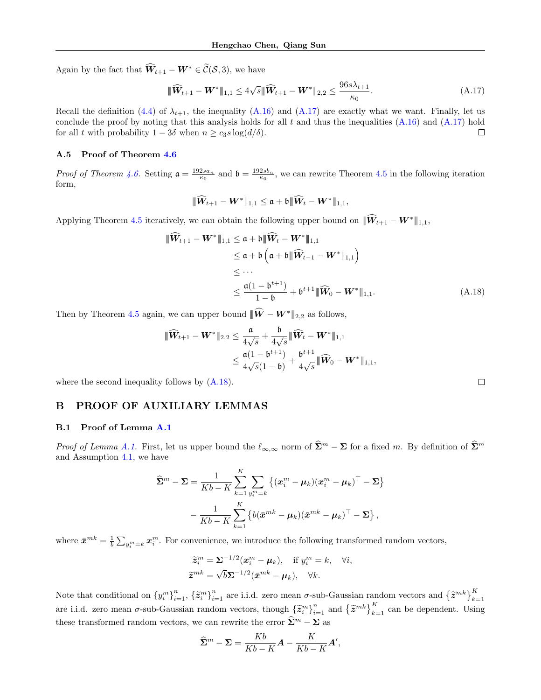Again by the fact that  $\widehat{W}_{t+1} - W^* \in \widetilde{\mathcal{C}}(\mathcal{S}, 3)$ , we have

<span id="page-12-0"></span>
$$
\|\widehat{\mathbf{W}}_{t+1} - \mathbf{W}^*\|_{1,1} \le 4\sqrt{s} \|\widehat{\mathbf{W}}_{t+1} - \mathbf{W}^*\|_{2,2} \le \frac{96s\lambda_{t+1}}{\kappa_0}.
$$
\n(A.17)

Recall the definition [\(4.4\)](#page-4-4) of  $\lambda_{t+1}$ , the inequality [\(A.16\)](#page-11-4) and [\(A.17\)](#page-12-0) are exactly what we want. Finally, let us conclude the proof by noting that this analysis holds for all  $t$  and thus the inequalities  $(A.16)$  and  $(A.17)$  hold for all t with probability  $1 - 3\delta$  when  $n \geq c_3 s \log(d/\delta)$ .  $\Box$ 

#### A.5 Proof of Theorem [4.6](#page-5-1)

Proof of Theorem [4.6.](#page-5-1) Setting  $\mathfrak{a} = \frac{192sa_n}{\kappa_0}$  and  $\mathfrak{b} = \frac{192sb_n}{\kappa_0}$ , we can rewrite Theorem [4.5](#page-4-5) in the following iteration form,

$$
\|\widehat{\boldsymbol{W}}_{t+1}-\boldsymbol{W}^*\|_{1,1}\leq \mathfrak{a}+\mathfrak{b}|\|\widehat{\boldsymbol{W}}_t-\boldsymbol{W}^*\|_{1,1},
$$

Applying Theorem [4.5](#page-4-5) iteratively, we can obtain the following upper bound on  $\|\widehat{W}_{t+1} - W^*\|_{1,1}$ ,

$$
\begin{aligned}\n\|\widehat{\mathbf{W}}_{t+1} - \mathbf{W}^*\|_{1,1} &\leq \mathfrak{a} + \mathfrak{b} \|\widehat{\mathbf{W}}_t - \mathbf{W}^*\|_{1,1} \\
&\leq \mathfrak{a} + \mathfrak{b} \left( \mathfrak{a} + \mathfrak{b} \|\widehat{\mathbf{W}}_{t-1} - \mathbf{W}^*\|_{1,1} \right) \\
&\leq \cdots \\
&\leq \frac{\mathfrak{a}(1 - \mathfrak{b}^{t+1})}{1 - \mathfrak{b}} + \mathfrak{b}^{t+1} \|\widehat{\mathbf{W}}_0 - \mathbf{W}^*\|_{1,1}.\n\end{aligned} \tag{A.18}
$$

Then by Theorem [4.5](#page-4-5) again, we can upper bound  $|\!|\!|\hat{W}-W^*|\!|\!|_{2,2}$  as follows,

$$
\begin{aligned} \|\widehat{{\bm{W}}}_{t+1}-{\bm{W}}^*\|_{2,2} &\leq \frac{\mathfrak{a}}{4\sqrt{s}}+\frac{\mathfrak{b}}{4\sqrt{s}}\|\widehat{{\bm{W}}}_t-{\bm{W}}^*\|_{1,1}\\ &\leq \frac{\mathfrak{a}(1-\mathfrak{b}^{t+1})}{4\sqrt{s}(1-\mathfrak{b})}+\frac{\mathfrak{b}^{t+1}}{4\sqrt{s}}\|\widehat{{\bm{W}}}_0-{\bm{W}}^*\|_{1,1}, \end{aligned}
$$

where the second inequality follows by  $(A.18)$ .

## B PROOF OF AUXILIARY LEMMAS

### B.1 Proof of Lemma [A.1](#page-9-0)

*Proof of Lemma [A.1.](#page-9-0)* First, let us upper bound the  $\ell_{\infty,\infty}$  norm of  $\widehat{\Sigma}^m - \Sigma$  for a fixed m. By definition of  $\widehat{\Sigma}^m$ and Assumption [4.1,](#page-4-3) we have

$$
\widehat{\mathbf{\Sigma}}^m - \mathbf{\Sigma} = \frac{1}{Kb - K} \sum_{k=1}^K \sum_{y_i^m = k} \left\{ (\boldsymbol{x}_i^m - \boldsymbol{\mu}_k)(\boldsymbol{x}_i^m - \boldsymbol{\mu}_k)^\top - \boldsymbol{\Sigma} \right\} \n- \frac{1}{Kb - K} \sum_{k=1}^K \left\{ b(\bar{\boldsymbol{x}}^{mk} - \boldsymbol{\mu}_k)(\bar{\boldsymbol{x}}^{mk} - \boldsymbol{\mu}_k)^\top - \boldsymbol{\Sigma} \right\},
$$

where  $\bar{x}^{mk} = \frac{1}{b} \sum_{y_i^m = k} x_i^m$ . For convenience, we introduce the following transformed random vectors,

$$
\widetilde{\mathbf{z}}_i^m = \mathbf{\Sigma}^{-1/2}(\mathbf{x}_i^m - \boldsymbol{\mu}_k), \quad \text{if } y_i^m = k, \quad \forall i,
$$
  

$$
\widetilde{\mathbf{z}}^{mk} = \sqrt{b}\mathbf{\Sigma}^{-1/2}(\bar{\mathbf{x}}^{mk} - \boldsymbol{\mu}_k), \quad \forall k.
$$

Note that conditional on  $\{y_i^m\}_{i=1}^n$ ,  $\{\tilde{z}_i^m\}_{i=1}^n$  are i.i.d. zero mean  $\sigma$ -sub-Gaussian random vectors and  $\{\tilde{z}^{mk}\}_{k=1}^K$ are i.i.d. zero mean  $\sigma$ -sub-Gaussian random vectors, though  $\{\tilde{z}_i^m\}_{i=1}^n$  and  $\{\tilde{z}^{mk}\}_{k=1}^K$  can be dependent. Using these transformed random vectors, we can rewrite the error  $\widehat{\bf \Sigma}^m - {\bf \Sigma}$  as

$$
\widehat{\Sigma}^m - \Sigma = \frac{Kb}{Kb - K}A - \frac{K}{Kb - K}A',
$$

<span id="page-12-1"></span> $\Box$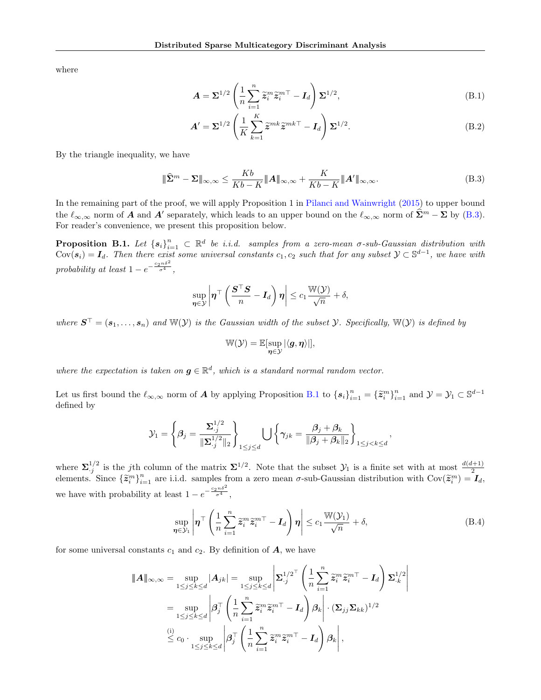where

<span id="page-13-4"></span><span id="page-13-3"></span>
$$
\mathbf{A} = \mathbf{\Sigma}^{1/2} \left( \frac{1}{n} \sum_{i=1}^{n} \widetilde{\mathbf{z}}_i^m \widetilde{\mathbf{z}}_i^{m\top} - \mathbf{I}_d \right) \mathbf{\Sigma}^{1/2},\tag{B.1}
$$

<span id="page-13-0"></span>
$$
A' = \Sigma^{1/2} \left( \frac{1}{K} \sum_{k=1}^{K} \tilde{z}^{mk} \tilde{z}^{mk\top} - I_d \right) \Sigma^{1/2}.
$$
 (B.2)

By the triangle inequality, we have

$$
\|\widehat{\mathbf{\Sigma}}^{m} - \mathbf{\Sigma}\|_{\infty,\infty} \le \frac{Kb}{Kb - K} \|A\|_{\infty,\infty} + \frac{K}{Kb - K} \|A'\|_{\infty,\infty}.
$$
 (B.3)

In the remaining part of the proof, we will apply Proposition 1 in [Pilanci and Wainwright](#page-7-21) [\(2015\)](#page-7-21) to upper bound the  $\ell_{\infty,\infty}$  norm of  $\mathbf{A}$  and  $\mathbf{A}'$  separately, which leads to an upper bound on the  $\ell_{\infty,\infty}$  norm of  $\widehat{\Sigma}^m - \Sigma$  by [\(B.3\)](#page-13-0). For reader's convenience, we present this proposition below.

<span id="page-13-1"></span>**Proposition B.1.** Let  ${s_i}_{i=1}^n \subset \mathbb{R}^d$  be i.i.d. samples from a zero-mean  $\sigma$ -sub-Gaussian distribution with  $Cov(s_i) = I_d$ . Then there exist some universal constants  $c_1, c_2$  such that for any subset  $\mathcal{Y} \subset \mathbb{S}^{d-1}$ , we have with probability at least  $1 - e^{-\frac{c_2 n \delta^2}{\sigma^4}},$ 

$$
\sup_{\boldsymbol{\eta}\in\mathcal{Y}}\left|\boldsymbol{\eta}^\top\left(\frac{\boldsymbol{S}^\top\boldsymbol{S}}{n}-\boldsymbol{I}_d\right)\boldsymbol{\eta}\right|\leq c_1\frac{\mathbb{W}(\mathcal{Y})}{\sqrt{n}}+\delta,
$$

where  $S^{\top} = (s_1, \ldots, s_n)$  and  $\mathbb{W}(\mathcal{Y})$  is the Gaussian width of the subset  $\mathcal{Y}$ . Specifically,  $\mathbb{W}(\mathcal{Y})$  is defined by

$$
\mathbb{W}(\mathcal{Y}) = \mathbb{E}[\sup_{\eta \in \mathcal{Y}} |\langle g, \eta \rangle|],
$$

where the expectation is taken on  $g \in \mathbb{R}^d$ , which is a standard normal random vector.

Let us first bound the  $\ell_{\infty,\infty}$  norm of  $A$  by applying Proposition [B.1](#page-13-1) to  $\{s_i\}_{i=1}^n = \{\tilde{z}_i^m\}_{i=1}^n$  and  $\mathcal{Y} = \mathcal{Y}_1 \subset \mathbb{S}^{d-1}$ defined by

$$
\mathcal{Y}_1 = \left\{\beta_j = \frac{\Sigma_{\cdot j}^{1/2}}{\|\Sigma_{\cdot j}^{1/2}\|_2}\right\}_{1 \leq j \leq d} \bigcup \left\{\gamma_{jk} = \frac{\beta_j + \beta_k}{\|\beta_j + \beta_k\|_2}\right\}_{1 \leq j < k \leq d},
$$

where  $\Sigma_{.j}^{1/2}$  is the jth column of the matrix  $\Sigma^{1/2}$ . Note that the subset  $\mathcal{Y}_1$  is a finite set with at most  $\frac{d(d+1)}{2}$  elements. Since  $\{\tilde{\mathbf{z}}_i^m\}_{i=1}^n$  are i.i.d. samples from a zero mean  $\sigma$ -su we have with probability at least  $1 - e^{-\frac{c_2 n \delta^2}{\sigma^4}},$ 

<span id="page-13-2"></span>
$$
\sup_{\eta \in \mathcal{Y}_1} \left| \eta^{\top} \left( \frac{1}{n} \sum_{i=1}^n \tilde{z}_i^m \tilde{z}_i^{m\top} - \mathbf{I}_d \right) \eta \right| \le c_1 \frac{\mathbb{W}(\mathcal{Y}_1)}{\sqrt{n}} + \delta,
$$
\n(B.4)

for some universal constants  $c_1$  and  $c_2$ . By definition of  $\boldsymbol{A}$ , we have

$$
\|\mathbf{A}\|_{\infty,\infty} = \sup_{1 \leq j \leq k \leq d} |\mathbf{A}_{jk}| = \sup_{1 \leq j \leq k \leq d} \left| \mathbf{\Sigma}_{.j}^{1/2^{\top}} \left( \frac{1}{n} \sum_{i=1}^{n} \tilde{z}_{i}^{m} \tilde{z}_{i}^{m\top} - \mathbf{I}_{d} \right) \mathbf{\Sigma}_{.k}^{1/2} \right|
$$
  
\n
$$
= \sup_{1 \leq j \leq k \leq d} \left| \beta_{j}^{\top} \left( \frac{1}{n} \sum_{i=1}^{n} \tilde{z}_{i}^{m} \tilde{z}_{i}^{m\top} - \mathbf{I}_{d} \right) \beta_{k} \right| \cdot (\mathbf{\Sigma}_{jj} \mathbf{\Sigma}_{kk})^{1/2}
$$
  
\n(i)  
\n
$$
\leq c_{0} \cdot \sup_{1 \leq j \leq k \leq d} \left| \beta_{j}^{\top} \left( \frac{1}{n} \sum_{i=1}^{n} \tilde{z}_{i}^{m} \tilde{z}_{i}^{m\top} - \mathbf{I}_{d} \right) \beta_{k} \right|,
$$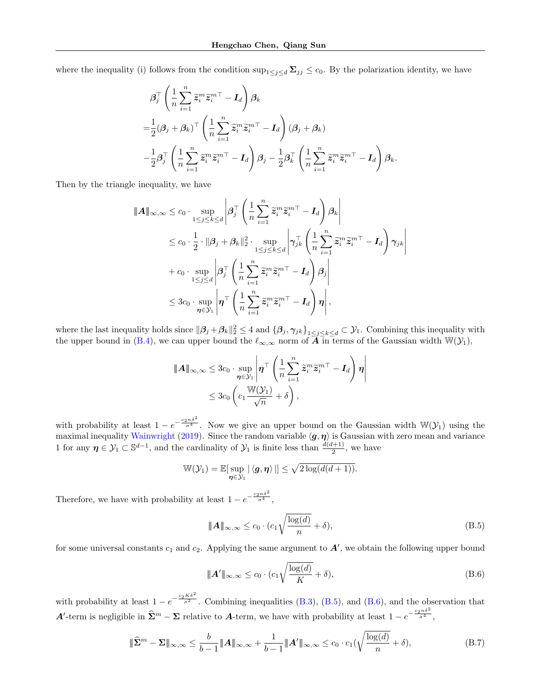where the inequality (i) follows from the condition  $\sup_{1\leq j\leq d} \Sigma_{jj} \leq c_0$ . By the polarization identity, we have

$$
\begin{split} &\beta_j^\top \left( \frac{1}{n} \sum_{i=1}^n \widetilde{\pmb{z}}_i^m \widetilde{\pmb{z}}_i^{m\top} - \pmb{I}_d \right) \pmb{\beta}_k \\ =& \frac{1}{2} (\pmb{\beta}_j + \pmb{\beta}_k)^\top \left( \frac{1}{n} \sum_{i=1}^n \widetilde{\pmb{z}}_i^m \widetilde{\pmb{z}}_i^{m\top} - \pmb{I}_d \right) (\pmb{\beta}_j + \pmb{\beta}_k) \\ &- \frac{1}{2} \pmb{\beta}_j^\top \left( \frac{1}{n} \sum_{i=1}^n \widetilde{\pmb{z}}_i^m \widetilde{\pmb{z}}_i^{m\top} - \pmb{I}_d \right) \pmb{\beta}_j - \frac{1}{2} \pmb{\beta}_k^\top \left( \frac{1}{n} \sum_{i=1}^n \widetilde{\pmb{z}}_i^m \widetilde{\pmb{z}}_i^{m\top} - \pmb{I}_d \right) \pmb{\beta}_k. \end{split}
$$

Then by the triangle inequality, we have

$$
\|\mathbf{A}\|_{\infty,\infty} \leq c_0 \cdot \sup_{1 \leq j \leq k \leq d} \left| \boldsymbol{\beta}_j^{\top} \left( \frac{1}{n} \sum_{i=1}^n \tilde{\boldsymbol{z}}_i^m \tilde{\boldsymbol{z}}_i^{m\top} - \mathbf{I}_d \right) \boldsymbol{\beta}_k \right|
$$
  
\n
$$
\leq c_0 \cdot \frac{1}{2} \cdot \|\boldsymbol{\beta}_j + \boldsymbol{\beta}_k\|_2^2 \cdot \sup_{1 \leq j \leq k \leq d} \left| \boldsymbol{\gamma}_{jk}^{\top} \left( \frac{1}{n} \sum_{i=1}^n \tilde{\boldsymbol{z}}_i^m \tilde{\boldsymbol{z}}_i^{m\top} - \mathbf{I}_d \right) \boldsymbol{\gamma}_{jk} \right|
$$
  
\n
$$
+ c_0 \cdot \sup_{1 \leq j \leq d} \left| \boldsymbol{\beta}_j^{\top} \left( \frac{1}{n} \sum_{i=1}^n \tilde{\boldsymbol{z}}_i^m \tilde{\boldsymbol{z}}_i^{m\top} - \mathbf{I}_d \right) \boldsymbol{\beta}_j \right|
$$
  
\n
$$
\leq 3c_0 \cdot \sup_{\boldsymbol{\eta} \in \mathcal{Y}_1} \left| \boldsymbol{\eta}^{\top} \left( \frac{1}{n} \sum_{i=1}^n \tilde{\boldsymbol{z}}_i^m \tilde{\boldsymbol{z}}_i^{m\top} - \mathbf{I}_d \right) \boldsymbol{\eta} \right|,
$$

where the last inequality holds since  $\|\boldsymbol{\beta}_j + \boldsymbol{\beta}_k\|_2^2 \leq 4$  and  $\{\boldsymbol{\beta}_j, \boldsymbol{\gamma}_{jk}\}_{1 \leq j \leq k \leq d} \subset \mathcal{Y}_1$ . Combining this inequality with the upper bound in [\(B.4\)](#page-13-2), we can upper bound the  $\ell_{\infty,\infty}$  norm of  $\overline{A}$  in terms of the Gaussian width  $\mathbb{W}(\mathcal{Y}_1)$ ,

$$
\|\mathbf{A}\|_{\infty,\infty} \leq 3c_0 \cdot \sup_{\boldsymbol{\eta} \in \mathcal{Y}_1} \left| \boldsymbol{\eta}^\top \left( \frac{1}{n} \sum_{i=1}^n \widetilde{\boldsymbol{z}}_i^m \widetilde{\boldsymbol{z}}_i^{m\top} - \mathbf{I}_d \right) \boldsymbol{\eta} \right|
$$
  

$$
\leq 3c_0 \left( c_1 \frac{\mathbb{W}(\mathcal{Y}_1)}{\sqrt{n}} + \delta \right),
$$

with probability at least  $1 - e^{-\frac{c_2 n \delta^2}{\sigma^4}}$ . Now we give an upper bound on the Gaussian width  $\mathbb{W}(\mathcal{Y}_1)$  using the maximal inequality [Wainwright](#page-7-22) [\(2019\)](#page-7-22). Since the random variable  $\langle g, \eta \rangle$  is Gaussian with zero mean and variance 1 for any  $\eta \in \mathcal{Y}_1 \subset \mathbb{S}^{d-1}$ , and the cardinality of  $\mathcal{Y}_1$  is finite less than  $\frac{d(d+1)}{2}$ , we have

$$
\mathbb{W}(\mathcal{Y}_1) = \mathbb{E}[\sup_{\boldsymbol{\eta}\in\mathcal{Y}_1}|\langle \boldsymbol{g}, \boldsymbol{\eta}\rangle|] \leq \sqrt{2\log(d(d+1))}.
$$

Therefore, we have with probability at least  $1 - e^{-\frac{c_2 n \delta^2}{\sigma^4}}$ ,

<span id="page-14-0"></span>
$$
\|\mathbf{A}\|_{\infty,\infty} \le c_0 \cdot (c_1 \sqrt{\frac{\log(d)}{n}} + \delta),\tag{B.5}
$$

for some universal constants  $c_1$  and  $c_2$ . Applying the same argument to  $A'$ , we obtain the following upper bound

<span id="page-14-2"></span><span id="page-14-1"></span>
$$
\|\mathbf{A}'\|_{\infty,\infty} \le c_0 \cdot (c_1 \sqrt{\frac{\log(d)}{K}} + \delta),\tag{B.6}
$$

with probability at least  $1 - e^{-\frac{c_2 K \delta^2}{\sigma^2}}$ . Combining inequalities [\(B.3\)](#page-13-0), [\(B.5\)](#page-14-0), and [\(B.6\)](#page-14-1), and the observation that **A'**-term is negligible in  $\hat{\Sigma}^m - \Sigma$  relative to **A**-term, we have with probability at least  $1 - e^{-\frac{c_2 n \delta^2}{\sigma^4}}$ ,

$$
\|\widehat{\mathbf{\Sigma}}^m - \mathbf{\Sigma}\|_{\infty,\infty} \le \frac{b}{b-1} \|A\|_{\infty,\infty} + \frac{1}{b-1} \|A'\|_{\infty,\infty} \le c_0 \cdot c_1(\sqrt{\frac{\log(d)}{n}} + \delta),\tag{B.7}
$$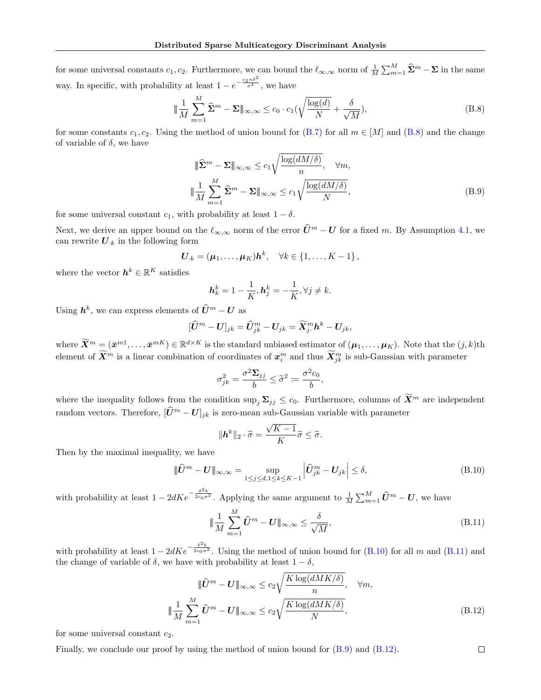for some universal constants  $c_1, c_2$ . Furthermore, we can bound the  $\ell_{\infty,\infty}$  norm of  $\frac{1}{M} \sum_{m=1}^{M} \hat{\Sigma}^m - \Sigma$  in the same way. In specific, with probability at least  $1 - e^{-\frac{c_2 n \delta^2}{\sigma^4}}$ , we have

$$
\|\frac{1}{M}\sum_{m=1}^{M}\widehat{\Sigma}^{m} - \Sigma\|_{\infty,\infty} \le c_0 \cdot c_1(\sqrt{\frac{\log(d)}{N}} + \frac{\delta}{\sqrt{M}}),\tag{B.8}
$$

for some constants  $c_1, c_2$ . Using the method of union bound for [\(B.7\)](#page-14-2) for all  $m \in [M]$  and [\(B.8\)](#page-15-0) and the change of variable of  $\delta$ , we have

<span id="page-15-3"></span><span id="page-15-0"></span>
$$
\|\widehat{\Sigma}^{m} - \Sigma\|_{\infty,\infty} \le c_1 \sqrt{\frac{\log(dM/\delta)}{n}}, \quad \forall m,
$$
  

$$
\|\frac{1}{M} \sum_{m=1}^{M} \widehat{\Sigma}^{m} - \Sigma\|_{\infty,\infty} \le c_1 \sqrt{\frac{\log(dM/\delta)}{N}},
$$
 (B.9)

for some universal constant  $c_1$ , with probability at least  $1 - \delta$ .

Next, we derive an upper bound on the  $\ell_{\infty,\infty}$  norm of the error  $\widehat{U}^m - U$  for a fixed m. By Assumption [4.1,](#page-4-3) we can rewrite  $U_{\cdot k}$  in the following form

$$
\boldsymbol{U}_{\cdot k}=(\boldsymbol{\mu}_1,\ldots,\boldsymbol{\mu}_K)\boldsymbol{h}^k, \quad \forall k\in\{1,\ldots,K-1\}\,,
$$

where the vector  $\mathbf{h}^k \in \mathbb{R}^K$  satisfies

$$
\boldsymbol{h}^k_k = 1 - \frac{1}{K}, \boldsymbol{h}^k_j = -\frac{1}{K}, \forall j \neq k.
$$

Using  $h^k$ , we can express elements of  $\widehat{U}^m - U$  as

$$
[\widehat{U}^m - U]_{jk} = \widehat{U}_{jk}^m - U_{jk} = \widetilde{X}_{j\cdot}^m h^k - U_{jk},
$$

where  $\widetilde{\bm{X}}^m \equiv (\bar{x}^{m1}, \dots, \bar{x}^{mK}) \in \mathbb{R}^{d \times K}$  is the standard unbiased estimator of  $(\mu_1, \dots, \mu_K)$ . Note that the  $(j, k)$ th element of  $\bar{X}^m$  is a linear combination of coordinates of  $x_i^m$  and thus  $\bar{X}_{jk}^m$  is sub-Gaussian with parameter

$$
\sigma_{jk}^2 = \frac{\sigma^2 \Sigma_{jj}}{b} \leq \widetilde{\sigma}^2 := \frac{\sigma^2 c_0}{b},
$$

where the inequality follows from the condition  $\sup_j \Sigma_{jj} \le c_0$ . Furthermore, columns of  $\widetilde{X}^m$  are independent random vectors. Therefore,  $[\hat{U}^m - U]_{jk}$  is zero-mean sub-Gaussian variable with parameter

<span id="page-15-1"></span>
$$
\|\mathbf{h}^k\|_2 \cdot \widetilde{\sigma} = \frac{\sqrt{K-1}}{K} \widetilde{\sigma} \leq \widetilde{\sigma}.
$$

Then by the maximal inequality, we have

$$
\|\widehat{\mathbf{U}}^m - \mathbf{U}\|_{\infty,\infty} = \sup_{1 \le j \le d, 1 \le k \le K-1} \left| \widehat{\mathbf{U}}_{jk}^m - \mathbf{U}_{jk} \right| \le \delta,
$$
\n(B.10)

with probability at least  $1 - 2dKe^{-\frac{\delta^2 b}{2c_0\sigma^2}}$ . Applying the same argument to  $\frac{1}{M}\sum_{m=1}^{M} \hat{U}^m - U$ , we have

<span id="page-15-4"></span><span id="page-15-2"></span>
$$
\|\frac{1}{M}\sum_{m=1}^{M}\widehat{U}^{m} - U\|_{\infty,\infty} \le \frac{\delta}{\sqrt{M}},
$$
\n(B.11)

with probability at least  $1 - 2dKe^{-\frac{\delta^2 b}{2c_0 \sigma^2}}$ . Using the method of union bound for [\(B.10\)](#page-15-1) for all m and [\(B.11\)](#page-15-2) and the change of variable of  $\delta$ , we have with probability at least  $1 - \delta$ .

$$
\|\widehat{U}^m - U\|_{\infty,\infty} \le c_2 \sqrt{\frac{K \log(dMK/\delta)}{n}}, \quad \forall m,
$$
  

$$
\|\frac{1}{M} \sum_{m=1}^{M} \widehat{U}^m - U\|_{\infty,\infty} \le c_2 \sqrt{\frac{K \log(dMK/\delta)}{N}}, \quad (B.12)
$$

for some universal constant  $c_2$ .

Finally, we conclude our proof by using the method of union bound for [\(B.9\)](#page-15-3) and [\(B.12\)](#page-15-4).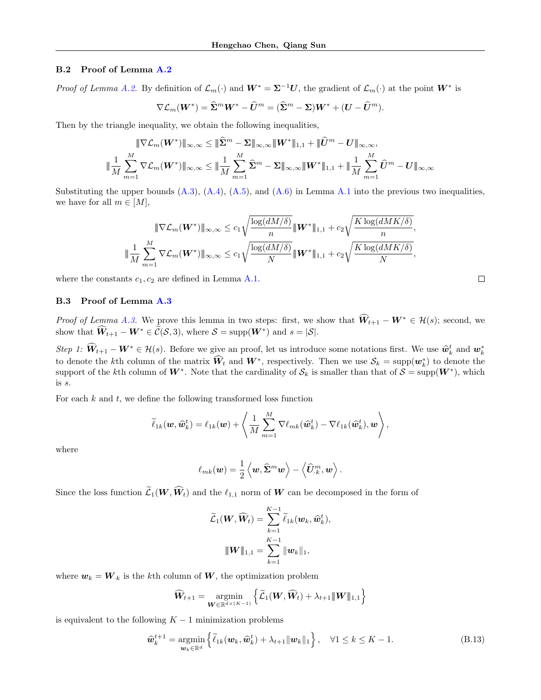#### B.2 Proof of Lemma [A.2](#page-10-1)

*Proof of Lemma [A.2.](#page-10-1)* By definition of  $\mathcal{L}_m(\cdot)$  and  $W^* = \Sigma^{-1}U$ , the gradient of  $\mathcal{L}_m(\cdot)$  at the point  $W^*$  is

$$
\nabla \mathcal{L}_m(\boldsymbol{W}^*) = \widehat{\boldsymbol{\Sigma}}^m \boldsymbol{W}^* - \widehat{\boldsymbol{U}}^m = (\widehat{\boldsymbol{\Sigma}}^m - \boldsymbol{\Sigma}) \boldsymbol{W}^* + (\boldsymbol{U} - \widehat{\boldsymbol{U}}^m).
$$

Then by the triangle inequality, we obtain the following inequalities,

$$
\|\nabla \mathcal{L}_m(\boldsymbol{W}^*)\|_{\infty,\infty} \le \|\widehat{\boldsymbol{\Sigma}}^m - \boldsymbol{\Sigma}\|_{\infty,\infty} \|\boldsymbol{W}^*\|_{1,1} + \|\widehat{\boldsymbol{U}}^m - \boldsymbol{U}\|_{\infty,\infty},
$$
  

$$
\|\frac{1}{M}\sum_{m=1}^M \nabla \mathcal{L}_m(\boldsymbol{W}^*)\|_{\infty,\infty} \le \|\frac{1}{M}\sum_{m=1}^M \widehat{\boldsymbol{\Sigma}}^m - \boldsymbol{\Sigma}\|_{\infty,\infty} \|\boldsymbol{W}^*\|_{1,1} + \|\frac{1}{M}\sum_{m=1}^M \widehat{\boldsymbol{U}}^m - \boldsymbol{U}\|_{\infty,\infty}
$$

Substituting the upper bounds  $(A.3)$ ,  $(A.4)$ ,  $(A.5)$ , and  $(A.6)$  in Lemma [A.1](#page-9-0) into the previous two inequalities, we have for all  $m \in [M],$ 

$$
\|\nabla \mathcal{L}_m(\boldsymbol{W}^*)\|_{\infty,\infty} \le c_1 \sqrt{\frac{\log(dM/\delta)}{n}} \|\boldsymbol{W}^*\|_{1,1} + c_2 \sqrt{\frac{K \log(dMK/\delta)}{n}},
$$
  

$$
\|\frac{1}{M} \sum_{m=1}^M \nabla \mathcal{L}_m(\boldsymbol{W}^*)\|_{\infty,\infty} \le c_1 \sqrt{\frac{\log(dM/\delta)}{N}} \|\boldsymbol{W}^*\|_{1,1} + c_2 \sqrt{\frac{K \log(dMK/\delta)}{N}},
$$

where the constants  $c_1, c_2$  are defined in Lemma [A.1.](#page-9-0)

### B.3 Proof of Lemma [A.3](#page-10-4)

*Proof of Lemma [A.3.](#page-10-4)* We prove this lemma in two steps: first, we show that  $\widehat{W}_{t+1} - W^* \in \mathcal{H}(s)$ ; second, we show that  $\widehat{W}_{t+1} - W^* \in \widetilde{\mathcal{C}}(\mathcal{S}, 3)$ , where  $\mathcal{S} = \text{supp}(W^*)$  and  $s = |\mathcal{S}|$ .

Step 1:  $\widehat{W}_{t+1} - W^* \in \mathcal{H}(s)$ . Before we give an proof, let us introduce some notations first. We use  $\widehat{w}_k^t$  and  $w_k^*$ to denote the kth column of the matrix  $\hat{W}_t$  and  $W^*$ , respectively. Then we use  $\mathcal{S}_k = \text{supp}(\boldsymbol{w}_k^*)$  to denote the support of the kth column of  $W^*$ . Note that the cardinality of  $\mathcal{S}_k$  is smaller than that of  $\mathcal{S} = \text{supp}(W^*)$ , which is s.

For each  $k$  and  $t$ , we define the following transformed loss function

$$
\widetilde{\ell}_{1k}(\boldsymbol{w},\widehat{\boldsymbol{w}}_k^t) = \ell_{1k}(\boldsymbol{w}) + \left\langle \frac{1}{M} \sum_{m=1}^M \nabla \ell_{mk}(\widehat{\boldsymbol{w}}_k^t) - \nabla \ell_{1k}(\widehat{\boldsymbol{w}}_k^t), \boldsymbol{w} \right\rangle,
$$

where

$$
\ell_{mk}(\boldsymbol{w}) = \frac{1}{2} \left\langle \boldsymbol{w}, \widehat{\mathbf{\Sigma}}^m \boldsymbol{w} \right\rangle - \left\langle \widehat{\boldsymbol{U}}^m_{\cdot k}, \boldsymbol{w} \right\rangle.
$$

Since the loss function  $\widetilde{\mathcal{L}}_1(\bm{W},\widehat{\bm{W}}_t)$  and the  $\ell_{1,1}$  norm of  $\bm{W}$  can be decomposed in the form of

<span id="page-16-0"></span>
$$
\widetilde{\mathcal{L}}_1(\boldsymbol{W}, \widehat{\boldsymbol{W}}_t) = \sum_{k=1}^{K-1} \widetilde{\ell}_{1k}(\boldsymbol{w}_k, \widehat{\boldsymbol{w}}_k^t),
$$
  

$$
\|\boldsymbol{W}\|_{1,1} = \sum_{k=1}^{K-1} \|\boldsymbol{w}_k\|_1,
$$

where  $w_k = W_{k}$  is the kth column of W, the optimization problem

$$
\widehat{\boldsymbol{W}}_{t+1} = \operatorname*{argmin}_{\boldsymbol{W} \in \mathbb{R}^{d \times (K-1)}} \left\{ \widetilde{\mathcal{L}}_1(\boldsymbol{W}, \widehat{\boldsymbol{W}}_t) + \lambda_{t+1} \|\boldsymbol{W}\|_{1,1} \right\}
$$

is equivalent to the following  $K - 1$  minimization problems

$$
\widehat{\boldsymbol{w}}_k^{t+1} = \underset{\boldsymbol{w}_k \in \mathbb{R}^d}{\operatorname{argmin}} \left\{ \widetilde{\ell}_{1k}(\boldsymbol{w}_k, \widehat{\boldsymbol{w}}_k^t) + \lambda_{t+1} \|\boldsymbol{w}_k\|_1 \right\}, \quad \forall 1 \le k \le K-1.
$$
\n(B.13)

$$
\Box
$$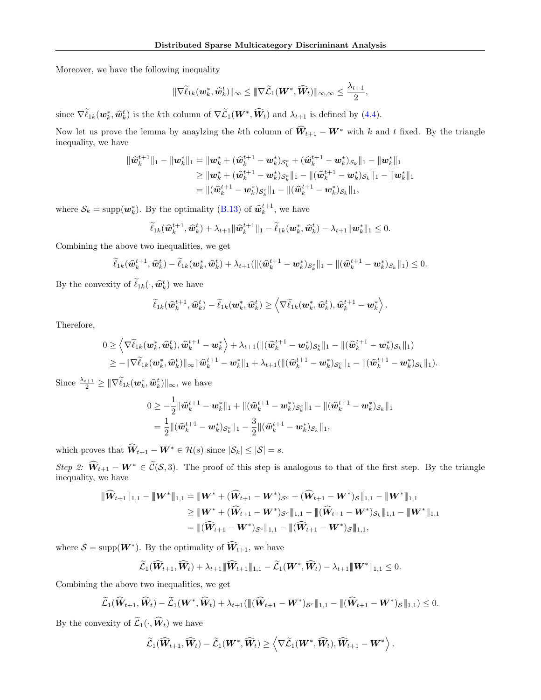Moreover, we have the following inequality

$$
\|\nabla \widetilde{\ell}_{1k}(\boldsymbol{w}_k^*,\widehat{\boldsymbol{w}}_k^t)\|_\infty \leq \|\nabla \widetilde{\mathcal{L}}_1(\boldsymbol{W}^*,\widehat{\boldsymbol{W}}_t)\|_{\infty,\infty} \leq \frac{\lambda_{t+1}}{2},
$$

since  $\nabla \tilde{\ell}_{1k}(\boldsymbol{w}_k^*, \hat{\boldsymbol{w}}_k^t)$  is the kth column of  $\nabla \tilde{\mathcal{L}}_1(\boldsymbol{W}^*, \hat{\boldsymbol{W}}_t)$  and  $\lambda_{t+1}$  is defined by [\(4.4\)](#page-4-4).

Now let us prove the lemma by anaylzing the kth column of  $\widehat{W}_{t+1} - W^*$  with k and t fixed. By the triangle inequality, we have

$$
\begin{aligned} \|\widehat{\bm{w}}_k^{t+1}\|_1 - \|\bm{w}_k^*\|_1 &= \|\bm{w}_k^* + (\widehat{\bm{w}}_k^{t+1} - \bm{w}_k^*)_{\mathcal{S}_k^c} + (\widehat{\bm{w}}_k^{t+1} - \bm{w}_k^*)_{\mathcal{S}_k}\|_1 - \|\bm{w}_k^*\|_1 \\ &\geq \|\bm{w}_k^* + (\widehat{\bm{w}}_k^{t+1} - \bm{w}_k^*)_{\mathcal{S}_k^c}\|_1 - \|(\widehat{\bm{w}}_k^{t+1} - \bm{w}_k^*)_{\mathcal{S}_k}\|_1 - \|\bm{w}_k^*\|_1 \\ &= \|(\widehat{\bm{w}}_k^{t+1} - \bm{w}_k^*)_{\mathcal{S}_k^c}\|_1 - \|(\widehat{\bm{w}}_k^{t+1} - \bm{w}_k^*)_{\mathcal{S}_k}\|_1, \end{aligned}
$$

where  $S_k = \text{supp}(\boldsymbol{w}_k^*)$ . By the optimality [\(B.13\)](#page-16-0) of  $\hat{\boldsymbol{w}}_k^{t+1}$ , we have

$$
\widetilde{\ell}_{1k}(\widehat{\boldsymbol{w}}_k^{t+1}, \widehat{\boldsymbol{w}}_k^t) + \lambda_{t+1} \|\widehat{\boldsymbol{w}}_k^{t+1}\|_1 - \widetilde{\ell}_{1k}(\boldsymbol{w}_k^*, \widehat{\boldsymbol{w}}_k^t) - \lambda_{t+1} \|\boldsymbol{w}_k^*\|_1 \leq 0.
$$

Combining the above two inequalities, we get

$$
\widetilde{\ell}_{1k}(\widehat{\boldsymbol{w}}_k^{t+1},\widehat{\boldsymbol{w}}_k^{t}) - \widetilde{\ell}_{1k}(\boldsymbol{w}_k^*,\widehat{\boldsymbol{w}}_k^{t}) + \lambda_{t+1}(\|(\widehat{\boldsymbol{w}}_k^{t+1} - \boldsymbol{w}_k^*)_{\mathcal{S}_k^c}\|_1 - \|(\widehat{\boldsymbol{w}}_k^{t+1} - \boldsymbol{w}_k^*)_{\mathcal{S}_k}\|_1) \leq 0.
$$

By the convexity of  $\ell_{1k}(\cdot, \hat{\boldsymbol{w}}_k^t)$  we have

$$
\widetilde{\ell}_{1k}(\widehat{\boldsymbol{w}}_k^{t+1},\widehat{\boldsymbol{w}}_k^{t}) - \widetilde{\ell}_{1k}(\boldsymbol{w}_k^*,\widehat{\boldsymbol{w}}_k^{t}) \geq \left\langle \nabla \widetilde{\ell}_{1k}(\boldsymbol{w}_k^*,\widehat{\boldsymbol{w}}_k^{t}),\widehat{\boldsymbol{w}}_k^{t+1} - \boldsymbol{w}_k^* \right\rangle.
$$

Therefore,

$$
\begin{aligned} &0\geq \left\langle \nabla \widetilde{\ell}_{1k}(\bm w_k^{*},\widehat{\bm w}_k^{t}),\widehat{\bm w}_k^{t+1}-\bm w_k^{*}\right\rangle+\lambda_{t+1}(\|(\widehat{\bm w}_k^{t+1}-\bm w_k^{*})_{\mathcal{S}_{k}^c}\|_1-\|(\widehat{\bm w}_k^{t+1}-\bm w_k^{*})_{\mathcal{S}_{k}}\|_1)\\ &\geq -\|\nabla \widetilde{\ell}_{1k}(\bm w_k^{*},\widehat{\bm w}_k^{t})\|_\infty\|\widehat{\bm w}_k^{t+1}-\bm w_k^{*}\|_1+\lambda_{t+1}(\|(\widehat{\bm w}_k^{t+1}-\bm w_k^{*})_{\mathcal{S}_{k}^c}\|_1-\|(\widehat{\bm w}_k^{t+1}-\bm w_k^{*})_{\mathcal{S}_{k}}\|_1).\end{aligned}
$$

Since  $\frac{\lambda_{t+1}}{2} \geq \|\nabla \tilde{\ell}_{1k}(\boldsymbol{w}_k^*, \hat{\boldsymbol{w}}_k^t)\|_{\infty}$ , we have

$$
0 \geq -\frac{1}{2} \|\widehat{\boldsymbol{w}}_k^{t+1} - \boldsymbol{w}_k^*\|_1 + \|(\widehat{\boldsymbol{w}}_k^{t+1} - \boldsymbol{w}_k^*)_{\mathcal{S}_k^c}\|_1 - \|(\widehat{\boldsymbol{w}}_k^{t+1} - \boldsymbol{w}_k^*)_{\mathcal{S}_k}\|_1
$$
  
= 
$$
\frac{1}{2} \|(\widehat{\boldsymbol{w}}_k^{t+1} - \boldsymbol{w}_k^*)_{\mathcal{S}_k^c}\|_1 - \frac{3}{2} \|(\widehat{\boldsymbol{w}}_k^{t+1} - \boldsymbol{w}_k^*)_{\mathcal{S}_k}\|_1,
$$

which proves that  $\widehat{W}_{t+1} - W^* \in \mathcal{H}(s)$  since  $|\mathcal{S}_k| \leq |\mathcal{S}| = s$ .

Step 2:  $\widehat{W}_{t+1} - W^* \in \widetilde{\mathcal{C}}(\mathcal{S},3)$ . The proof of this step is analogous to that of the first step. By the triangle inequality, we have

$$
\begin{aligned} \|\widehat{{\bm{W}}}_{t+1}\|_{1,1}-\|{\bm{W}}^*\|_{1,1}&=\|{\bm{W}}^*+(\widehat{{\bm{W}}}_{t+1}-{\bm{W}}^*)_{\mathcal{S}^c}+(\widehat{{\bm{W}}}_{t+1}-{\bm{W}}^*)_{\mathcal{S}}\|_{1,1}-\|{\bm{W}}^*\|_{1,1}\\ &\geq \|{\bm{W}}^*+(\widehat{{\bm{W}}}_{t+1}-{\bm{W}}^*)_{\mathcal{S}^c}\|_{1,1}-\|(\widehat{{\bm{W}}}_{t+1}-{\bm{W}}^*)_{\mathcal{S}_k}\|_{1,1}-\|{\bm{W}}^*\|_{1,1}\\ &= \|(\widehat{{\bm{W}}}_{t+1}-{\bm{W}}^*)_{\mathcal{S}^c}\|_{1,1}-\|(\widehat{{\bm{W}}}_{t+1}-{\bm{W}}^*)_{\mathcal{S}}\|_{1,1}, \end{aligned}
$$

where  $S = \text{supp}(W^*)$ . By the optimality of  $\widehat{W}_{t+1}$ , we have

$$
\widetilde{\mathcal{L}}_1(\widehat{\mathbf{W}}_{t+1}, \widehat{\mathbf{W}}_t) + \lambda_{t+1} {\|\widehat{\mathbf{W}}_{t+1}\|_{1,1}} - \widetilde{\mathcal{L}}_1(\mathbf{W}^*, \widehat{\mathbf{W}}_t) - \lambda_{t+1} {\|\mathbf{W}^*\|_{1,1}} \leq 0.
$$

Combining the above two inequalities, we get

$$
\widetilde{\mathcal{L}}_1(\widehat{\mathbf{W}}_{t+1},\widehat{\mathbf{W}}_t)-\widetilde{\mathcal{L}}_1(\mathbf{W}^*,\widehat{\mathbf{W}}_t)+\lambda_{t+1}(\|(\widehat{\mathbf{W}}_{t+1}-\mathbf{W}^*)_{\mathcal{S}^c}\|_{1,1}-\|(\widehat{\mathbf{W}}_{t+1}-\mathbf{W}^*)_{\mathcal{S}}\|_{1,1})\leq 0.
$$

By the convexity of  $\widetilde{\mathcal{L}}_1(\cdot,\widehat{\mathbf{W}}_t)$  we have

$$
\widetilde{\mathcal{L}}_1(\widehat{\boldsymbol{W}}_{t+1}, \widehat{\boldsymbol{W}}_t) - \widetilde{\mathcal{L}}_1(\boldsymbol{W}^*, \widehat{\boldsymbol{W}}_t) \geq \left\langle \nabla \widetilde{\mathcal{L}}_1(\boldsymbol{W}^*, \widehat{\boldsymbol{W}}_t), \widehat{\boldsymbol{W}}_{t+1} - \boldsymbol{W}^* \right\rangle.
$$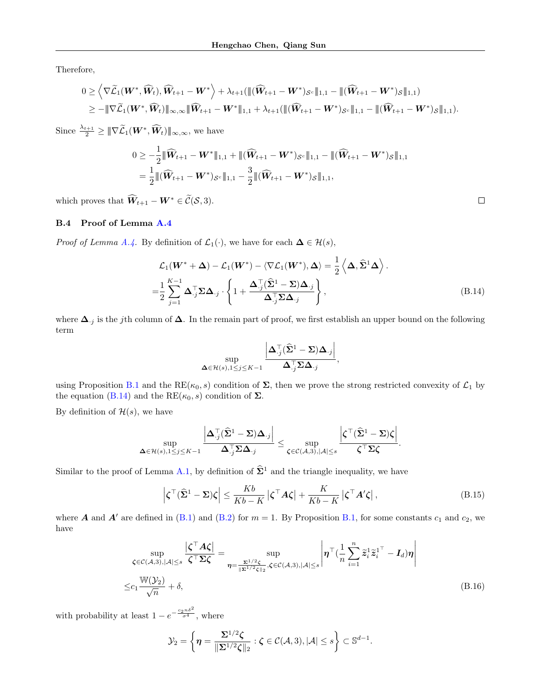Therefore,

$$
0 \geq \left\langle \nabla \widetilde{\mathcal{L}}_1(\boldsymbol{W}^*, \widehat{\boldsymbol{W}}_t), \widehat{\boldsymbol{W}}_{t+1} - \boldsymbol{W}^* \right\rangle + \lambda_{t+1}(\|(\widehat{\boldsymbol{W}}_{t+1} - \boldsymbol{W}^*)_{\mathcal{S}^c}\|_{1,1} - \|(\widehat{\boldsymbol{W}}_{t+1} - \boldsymbol{W}^*)_{\mathcal{S}}\|_{1,1})
$$
  

$$
\geq - \|\nabla \widetilde{\mathcal{L}}_1(\boldsymbol{W}^*, \widehat{\boldsymbol{W}}_t)\|_{\infty,\infty} \|\widehat{\boldsymbol{W}}_{t+1} - \boldsymbol{W}^*\|_{1,1} + \lambda_{t+1}(\|(\widehat{\boldsymbol{W}}_{t+1} - \boldsymbol{W}^*)_{\mathcal{S}^c}\|_{1,1} - \|(\widehat{\boldsymbol{W}}_{t+1} - \boldsymbol{W}^*)_{\mathcal{S}}\|_{1,1}).
$$

Since  $\frac{\lambda_{t+1}}{2} \geq \|\nabla \widetilde{\mathcal{L}}_1(\boldsymbol{W}^*, \widehat{\boldsymbol{W}}_t)\|_{\infty,\infty}$ , we have

$$
0 \geq -\frac{1}{2} \|\widehat{W}_{t+1} - W^*\|_{1,1} + \|(\widehat{W}_{t+1} - W^*)_{\mathcal{S}^c}\|_{1,1} - \|(\widehat{W}_{t+1} - W^*)_{\mathcal{S}}\|_{1,1} = \frac{1}{2} \|(\widehat{W}_{t+1} - W^*)_{\mathcal{S}^c}\|_{1,1} - \frac{3}{2} \|(\widehat{W}_{t+1} - W^*)_{\mathcal{S}}\|_{1,1},
$$

which proves that  $\widehat{W}_{t+1} - W^* \in \widetilde{\mathcal{C}}(\mathcal{S}, 3)$ .

## B.4 Proof of Lemma [A.4](#page-10-0)

*Proof of Lemma [A.4.](#page-10-0)* By definition of  $\mathcal{L}_1(\cdot)$ , we have for each  $\Delta \in \mathcal{H}(s)$ ,

$$
\mathcal{L}_1(\mathbf{W}^* + \boldsymbol{\Delta}) - \mathcal{L}_1(\mathbf{W}^*) - \langle \nabla \mathcal{L}_1(\mathbf{W}^*), \boldsymbol{\Delta} \rangle = \frac{1}{2} \left\langle \boldsymbol{\Delta}, \widehat{\boldsymbol{\Sigma}}^1 \boldsymbol{\Delta} \right\rangle.
$$
  
=  $\frac{1}{2} \sum_{j=1}^{K-1} \boldsymbol{\Delta}_{.j}^\top \boldsymbol{\Sigma} \boldsymbol{\Delta}_{.j} \cdot \left\{ 1 + \frac{\boldsymbol{\Delta}_{.j}^\top (\widehat{\boldsymbol{\Sigma}}^1 - \boldsymbol{\Sigma}) \boldsymbol{\Delta}_{.j}}{\boldsymbol{\Delta}_{.j}^\top \boldsymbol{\Sigma} \boldsymbol{\Delta}_{.j}} \right\},$  (B.14)

where  $\Delta_{\cdot j}$  is the jth column of  $\Delta$ . In the remain part of proof, we first establish an upper bound on the following term

$$
\sup_{\mathbf{\Delta} \in \mathcal{H}(s), 1 \leq j \leq K-1} \frac{\left|\mathbf{\Delta}_{\cdot j}^{\top} (\widehat{\mathbf{\Sigma}}^1 - \mathbf{\Sigma}) \mathbf{\Delta}_{\cdot j} \right|}{\mathbf{\Delta}_{\cdot j}^{\top} \mathbf{\Sigma} \mathbf{\Delta}_{\cdot j}},
$$

using Proposition [B.1](#page-13-1) and the RE( $\kappa_0$ , s) condition of  $\Sigma$ , then we prove the strong restricted convexity of  $\mathcal{L}_1$  by the equation [\(B.14\)](#page-18-0) and the  $RE(\kappa_0, s)$  condition of  $\Sigma$ .

By definition of  $\mathcal{H}(s)$ , we have

$$
\sup_{\mathbf{\Delta} \in \mathcal{H}(s), 1 \leq j \leq K-1} \frac{\left|\mathbf{\Delta}_{\cdot j}^{\top} (\widehat{\mathbf{\Sigma}}^1 - \mathbf{\Sigma}) \mathbf{\Delta}_{\cdot j}\right|}{\mathbf{\Delta}_{\cdot j}^{\top} \mathbf{\Sigma} \mathbf{\Delta}_{\cdot j}} \leq \sup_{\mathbf{\zeta} \in \mathcal{C}(\mathcal{A},3), |\mathcal{A}| \leq s} \frac{\left|\mathbf{\zeta}^{\top} (\widehat{\mathbf{\Sigma}}^1 - \mathbf{\Sigma}) \mathbf{\zeta}\right|}{\mathbf{\zeta}^{\top} \mathbf{\Sigma} \mathbf{\zeta}}.
$$

Similar to the proof of Lemma [A.1,](#page-9-0) by definition of  $\hat{\Sigma}^1$  and the triangle inequality, we have

$$
\left|\zeta^{\top}(\widehat{\Sigma}^1 - \Sigma)\zeta\right| \le \frac{Kb}{Kb - K} \left|\zeta^{\top}A\zeta\right| + \frac{K}{Kb - K} \left|\zeta^{\top}A'\zeta\right|,\tag{B.15}
$$

<span id="page-18-2"></span><span id="page-18-1"></span>.

where A and A' are defined in [\(B.1\)](#page-13-3) and [\(B.2\)](#page-13-4) for  $m = 1$ . By Proposition [B.1,](#page-13-1) for some constants  $c_1$  and  $c_2$ , we have

$$
\sup_{\zeta \in \mathcal{C}(\mathcal{A},3), |\mathcal{A}| \le s} \frac{|\zeta^\top \mathcal{A}\zeta|}{\zeta^\top \Sigma \zeta} = \sup_{\eta = \frac{\Sigma^{1/2} \zeta}{\|\Sigma^{1/2} \zeta\|_2}, \zeta \in \mathcal{C}(\mathcal{A},3), |\mathcal{A}| \le s} \left| \eta^\top (\frac{1}{n} \sum_{i=1}^n \tilde{z}_i^1 \tilde{z}_i^{1^\top} - \mathbf{I}_d) \eta \right|
$$
\n
$$
\le c_1 \frac{\mathbb{W}(\mathcal{Y}_2)}{\sqrt{n}} + \delta,
$$
\n(B.16)

with probability at least  $1 - e^{-\frac{c_2 n \delta^2}{\sigma^4}}$ , where

$$
\mathcal{Y}_2 = \left\{ \boldsymbol{\eta} = \frac{\boldsymbol{\Sigma}^{1/2} \boldsymbol{\zeta}}{\|\boldsymbol{\Sigma}^{1/2} \boldsymbol{\zeta}\|_2} : \boldsymbol{\zeta} \in \mathcal{C}(\mathcal{A}, 3), |\mathcal{A}| \le s \right\} \subset \mathbb{S}^{d-1}
$$

<span id="page-18-0"></span>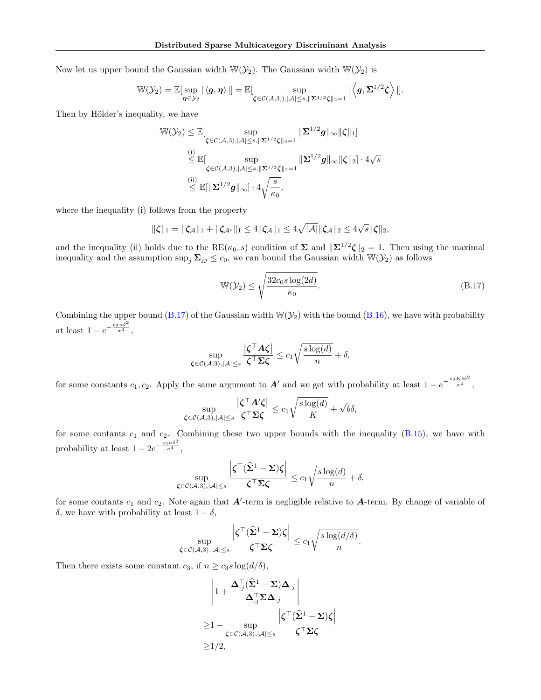Now let us upper bound the Gaussian width  $\mathbb{W}(\mathcal{Y}_2)$ . The Gaussian width  $\mathbb{W}(\mathcal{Y}_2)$  is

$$
\mathbb{W}(\mathcal{Y}_2) = \mathbb{E}[\sup_{\bm{\eta} \in \mathcal{Y}_2} |\langle \bm{g}, \bm{\eta} \rangle|] = \mathbb{E}[\sup_{\bm{\zeta} \in \mathcal{C}(\mathcal{A},3,), |\mathcal{A}| \leq s, \|\bm{\Sigma}^{1/2} \bm{\zeta}\|_2 = 1} |\langle \bm{g}, \bm{\Sigma}^{1/2} \bm{\zeta} \rangle|].
$$

Then by Hölder's inequality, we have

$$
\mathbb{W}(\mathcal{Y}_2) \leq \mathbb{E}[\sup_{\zeta \in \mathcal{C}(\mathcal{A},3), |\mathcal{A}| \leq s, \|\Sigma^{1/2}\zeta\|_2 = 1} \|\Sigma^{1/2}g\|_{\infty}\|\zeta\|_1]
$$
  

$$
\leq \mathbb{E}[\sup_{\zeta \in \mathcal{C}(\mathcal{A},3), |\mathcal{A}| \leq s, \|\Sigma^{1/2}\zeta\|_2 = 1} \|\Sigma^{1/2}g\|_{\infty}\|\zeta\|_2] \cdot 4\sqrt{s}
$$
  

$$
\leq \mathbb{E}[\|\Sigma^{1/2}g\|_{\infty}] \cdot 4\sqrt{\frac{s}{\kappa_0}},
$$

where the inequality (i) follows from the property

$$
\|\zeta\|_1 = \|\zeta_{\mathcal{A}}\|_1 + \|\zeta_{\mathcal{A}^c}\|_1 \leq 4 \|\zeta_{\mathcal{A}}\|_1 \leq 4\sqrt{|\mathcal{A}|} \|\zeta_{\mathcal{A}}\|_2 \leq 4\sqrt{s} \|\zeta\|_2,
$$

and the inequality (ii) holds due to the RE( $\kappa_0$ , s) condition of  $\Sigma$  and  $\|\Sigma^{1/2}\zeta\|_2=1$ . Then using the maximal inequality and the assumption  $\sup_j \Sigma_{jj} \le c_0$ , we can bound the Gaussian width  $\mathbb{W}(\mathcal{Y}_2)$  as follows

<span id="page-19-0"></span>
$$
\mathbb{W}(\mathcal{Y}_2) \le \sqrt{\frac{32c_0s\log(2d)}{\kappa_0}}.\tag{B.17}
$$

Combining the upper bound [\(B.17\)](#page-19-0) of the Gaussian width  $\mathbb{W}(\mathcal{Y}_2)$  with the bound [\(B.16\)](#page-18-1), we have with probability at least  $1 - e^{-\frac{c_2 n \delta^2}{\sigma^4}},$ 

$$
\sup_{\zeta \in \mathcal{C}(\mathcal{A},3), |\mathcal{A}| \leq s} \frac{\left|\zeta^\top A \zeta\right|}{\zeta^\top \Sigma \zeta} \leq c_1 \sqrt{\frac{s \log(d)}{n}} + \delta,
$$

for some constants  $c_1, c_2$ . Apply the same argument to  $A'$  and we get with probability at least  $1 - e^{-\frac{c_2 K b \delta^2}{\sigma^4}},$ 

$$
\sup_{\zeta \in \mathcal{C}(\mathcal{A},3), |\mathcal{A}| \leq s} \frac{|\zeta^\top A' \zeta|}{\zeta^\top \Sigma \zeta} \leq c_1 \sqrt{\frac{s \log(d)}{K}} + \sqrt{b} \delta,
$$

for some contants  $c_1$  and  $c_2$ . Combining these two upper bounds with the inequality  $(B.15)$ , we have with probability at least  $1 - 2e^{-\frac{c_2 n \delta^2}{\sigma^4}},$ 

$$
\sup_{\zeta \in \mathcal{C}(\mathcal{A},3), |\mathcal{A}| \le s} \frac{\left|\zeta^\top (\widehat{\Sigma}^1 - \Sigma)\zeta\right|}{\zeta^\top \Sigma \zeta} \le c_1 \sqrt{\frac{s \log(d)}{n}} + \delta,
$$

for some contants  $c_1$  and  $c_2$ . Note again that  $A'$ -term is negligible relative to  $A$ -term. By change of variable of δ, we have with probability at least  $1 - δ$ ,

$$
\sup_{\boldsymbol{\zeta}\in\mathcal{C}(\mathcal{A},3),|\mathcal{A}|\leq s}\frac{\left|\boldsymbol{\zeta}^{\top}(\widehat{\boldsymbol{\Sigma}}^1-\boldsymbol{\Sigma})\boldsymbol{\zeta}\right|}{\boldsymbol{\zeta}^{\top}\boldsymbol{\Sigma}\boldsymbol{\zeta}}\leq c_1\sqrt{\frac{s\log(d/\delta)}{n}}.
$$

Then there exists some constant  $c_3$ , if  $n \ge c_3 s \log(d/\delta)$ ,

$$
\left|1+\frac{\Delta_{\cdot,j}^{\top}(\widehat{\Sigma}^1-\Sigma)\Delta_{\cdot,j}}{\Delta_{\cdot,j}^{\top}\Sigma\Delta_{\cdot,j}}\right|
$$
  
\n
$$
\geq 1-\sup_{\zeta\in\mathcal{C}(\mathcal{A},3),|\mathcal{A}|\leq s}\frac{\left|\zeta^{\top}(\widehat{\Sigma}^1-\Sigma)\zeta\right|}{\zeta^{\top}\Sigma\zeta}
$$
  
\n
$$
\geq 1/2,
$$